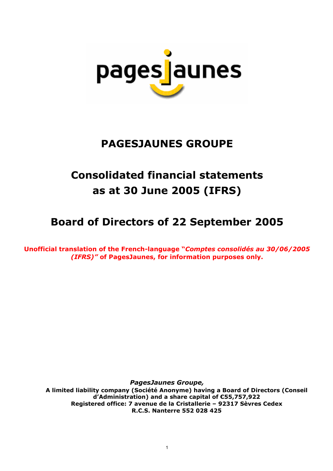

# **PAGESJAUNES GROUPE**

# **Consolidated financial statements as at 30 June 2005 (IFRS)**

# **Board of Directors of 22 September 2005**

**Unofficial translation of the French-language "***Comptes consolidés au 30/06/2005 (IFRS)"* **of PagesJaunes, for information purposes only.**

*PagesJaunes Groupe,* 

**A limited liability company (Société Anonyme) having a Board of Directors (Conseil d'Administration) and a share capital of €55,757,922 Registered office: 7 avenue de la Cristallerie – 92317 Sèvres Cedex R.C.S. Nanterre 552 028 425**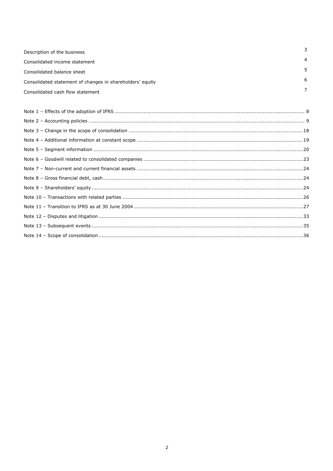| Description of the business                               | 3 |
|-----------------------------------------------------------|---|
| Consolidated income statement                             | 4 |
| Consolidated balance sheet                                | 5 |
| Consolidated statement of changes in shareholders' equity | 6 |
| Consolidated cash flow statement                          |   |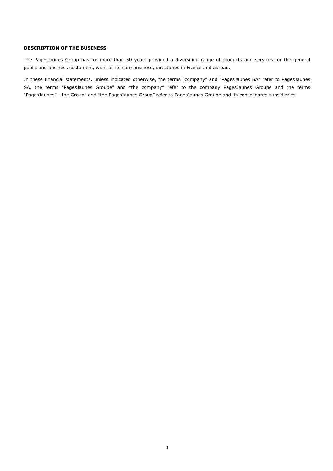## **DESCRIPTION OF THE BUSINESS**

The PagesJaunes Group has for more than 50 years provided a diversified range of products and services for the general public and business customers, with, as its core business, directories in France and abroad.

In these financial statements, unless indicated otherwise, the terms "company" and "PagesJaunes SA" refer to PagesJaunes SA, the terms "PagesJaunes Groupe" and "the company" refer to the company PagesJaunes Groupe and the terms "PagesJaunes", "the Group" and "the PagesJaunes Group" refer to PagesJaunes Groupe and its consolidated subsidiaries.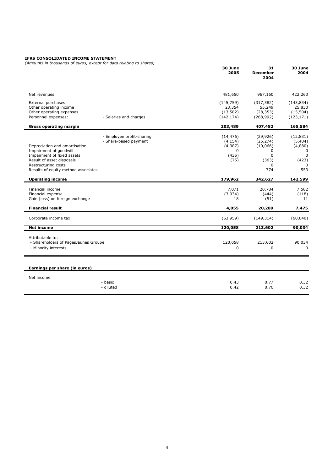#### **IFRS CONSOLIDATED INCOME STATEMENT**

*(Amounts in thousands of euros, except for data relating to shares)*

|                                                                                                                                                                                  | (Amounts in thousands or edios, except for data relating to shares) | 30 June<br>2005                                                | 31<br><b>December</b><br>2004                                                   | 30 June<br>2004                                                         |
|----------------------------------------------------------------------------------------------------------------------------------------------------------------------------------|---------------------------------------------------------------------|----------------------------------------------------------------|---------------------------------------------------------------------------------|-------------------------------------------------------------------------|
| Net revenues                                                                                                                                                                     |                                                                     | 481,650                                                        | 967,160                                                                         | 422,263                                                                 |
| External purchases<br>Other operating income<br>Other operating expenses<br>Personnel expenses:                                                                                  | - Salaries and charges                                              | (145, 759)<br>23,354<br>(13, 582)<br>(142, 174)                | (317, 582)<br>55,249<br>(28, 353)<br>(268, 992)                                 | (143, 834)<br>25,830<br>(15, 504)<br>(123, 171)                         |
| <b>Gross operating margin</b>                                                                                                                                                    |                                                                     | 203,489                                                        | 407,482                                                                         | 165,584                                                                 |
| Depreciation and amortisation<br>Impairment of goodwill<br>Impairment of fixed assets<br>Result of asset disposals<br>Restructuring costs<br>Results of equity method associates | - Employee profit-sharing<br>- Share-based payment                  | (14, 476)<br>(4, 154)<br>(4, 387)<br>$\Omega$<br>(435)<br>(75) | (29, 926)<br>(25, 274)<br>(10,066)<br>$\Omega$<br>$\Omega$<br>(363)<br>0<br>774 | (12, 831)<br>(5,404)<br>(4,880)<br>$\Omega$<br>$\Omega$<br>(423)<br>553 |
| <b>Operating income</b>                                                                                                                                                          |                                                                     | 179,962                                                        | 342,627                                                                         | 142,599                                                                 |
| Financial income<br>Financial expense<br>Gain (loss) on foreign exchange                                                                                                         |                                                                     | 7,071<br>(3,034)<br>18                                         | 20,784<br>(444)<br>(51)                                                         | 7,582<br>(118)<br>11                                                    |
| <b>Financial result</b>                                                                                                                                                          |                                                                     | 4,055                                                          | 20,289                                                                          | 7,475                                                                   |
| Corporate income tax                                                                                                                                                             |                                                                     | (63,959)                                                       | (149, 314)                                                                      | (60, 040)                                                               |
| <b>Net income</b>                                                                                                                                                                |                                                                     | 120,058                                                        | 213,602                                                                         | 90,034                                                                  |
| Attributable to:<br>- Shareholders of PagesJaunes Groupe<br>- Minority interests                                                                                                 |                                                                     | 120,058<br>$\Omega$                                            | 213,602<br>$\Omega$                                                             | 90,034<br>$\Omega$                                                      |
| Earnings per share (in euros)                                                                                                                                                    |                                                                     |                                                                |                                                                                 |                                                                         |
| Net income                                                                                                                                                                       |                                                                     |                                                                |                                                                                 |                                                                         |
|                                                                                                                                                                                  | - basic<br>- diluted                                                | 0.43<br>0.42                                                   | 0.77<br>0.76                                                                    | 0.32<br>0.32                                                            |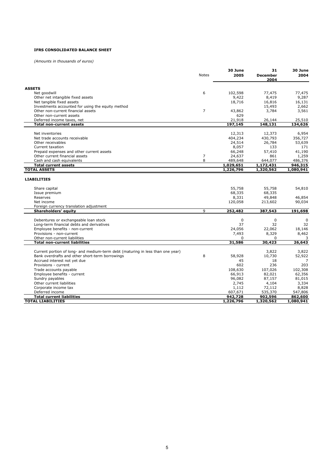## **IFRS CONSOLIDATED BALANCE SHEET**

*(Amounts in thousands of euros)*

| <b>ASSETS</b><br>6<br>102,598<br>77,475<br>77,475<br>Net goodwill<br>9,422<br>9,287<br>Other net intangible fixed assets<br>8,419<br>Net tangible fixed assets<br>18,716<br>16,816<br>16,131<br>15,493<br>2,662<br>Investments accounted for using the equity method<br>$\overline{7}$<br>Other non-current financial assets<br>43,862<br>3,784<br>3,561<br>Other non-current assets<br>629<br>21,918<br>25,510<br>Deferred income taxes, net<br>26,144<br><b>Total non-current assets</b><br>197,145<br>148,131<br>134,626<br>Net inventories<br>12,313<br>12,373<br>6,954<br>Net trade accounts receivable<br>404,234<br>430,793<br>356,727<br>Other receivables<br>24,514<br>26,784<br>53,639<br>Current taxation<br>8,057<br>133<br>171<br>41,190<br>Prepaid expenses and other current assets<br>66,248<br>57,410<br>Other current financial assets<br>7<br>24,637<br>1,259<br>861<br>8<br>Cash and cash equivalents<br>489,648<br>644,077<br>486,376<br>1,029,651<br>946,315<br><b>Total current assets</b><br>1,172,431<br><b>TOTAL ASSETS</b><br>1,226,796<br>1,080,941<br>1,320,562<br><b>LIABILITIES</b><br>55,758<br>55,758<br>54,810<br>Share capital<br>68,335<br>68,335<br>Issue premium<br>8,331<br>46,854<br>49,848<br>Reserves<br>120,058<br>90,034<br>Net income<br>213,602<br>Foreign currency translation adjustment<br>9<br>252,482<br>Shareholders' equity<br>387,543<br>191,698<br>Debentures or exchangeable loan stock<br>$\mathbf 0$<br>0<br>$\mathbf 0$<br>37<br>32<br>32<br>Long-term financial debts and derivatives<br>18,146<br>Employee benefits - non-current<br>24,056<br>22,062<br>Provisions - non-current<br>7,493<br>8,329<br>8,462<br>Other non-current liabilities<br>0<br>$\Omega$<br>3<br>26,643<br>31,586<br>30,423<br><b>Total non-current liabilities</b><br>Current portion of long- and medium-term debt (maturing in less than one year)<br>3,822<br>3,822<br>Bank overdrafts and other short-term borrowings<br>8<br>58,928<br>10,730<br>52,922<br>Accrued interest not yet due<br>45<br>18<br>7<br>602<br>236<br>203<br>Provisions - current<br>107,026<br>Trade accounts payable<br>108,630<br>102,308<br>Employee benefits - current<br>66,913<br>82,021<br>62,356<br>Sundry payables<br>96,082<br>87,157<br>81,015<br>Other current liabilities<br>2,745<br>4,104<br>3,334<br>1,112<br>8,828<br>Corporate income tax<br>72,112<br>535,370<br>Deferred income<br>607,671<br>547,806<br>942,728<br>902,596<br><b>Total current liabilities</b><br>862,600<br>1,226,796<br><b>TOTAL LIABILITIES</b><br>1,320,562<br>1,080,941 | <b>Notes</b> | 30 June<br>2005 | 31<br><b>December</b><br>2004 | 30 June<br>2004 |
|---------------------------------------------------------------------------------------------------------------------------------------------------------------------------------------------------------------------------------------------------------------------------------------------------------------------------------------------------------------------------------------------------------------------------------------------------------------------------------------------------------------------------------------------------------------------------------------------------------------------------------------------------------------------------------------------------------------------------------------------------------------------------------------------------------------------------------------------------------------------------------------------------------------------------------------------------------------------------------------------------------------------------------------------------------------------------------------------------------------------------------------------------------------------------------------------------------------------------------------------------------------------------------------------------------------------------------------------------------------------------------------------------------------------------------------------------------------------------------------------------------------------------------------------------------------------------------------------------------------------------------------------------------------------------------------------------------------------------------------------------------------------------------------------------------------------------------------------------------------------------------------------------------------------------------------------------------------------------------------------------------------------------------------------------------------------------------------------------------------------------------------------------------------------------------------------------------------------------------------------------------------------------------------------------------------------------------------------------------------------------------------------------------------------------------------------------------------------------------------------------------------------------------------------------------------------------------|--------------|-----------------|-------------------------------|-----------------|
|                                                                                                                                                                                                                                                                                                                                                                                                                                                                                                                                                                                                                                                                                                                                                                                                                                                                                                                                                                                                                                                                                                                                                                                                                                                                                                                                                                                                                                                                                                                                                                                                                                                                                                                                                                                                                                                                                                                                                                                                                                                                                                                                                                                                                                                                                                                                                                                                                                                                                                                                                                                 |              |                 |                               |                 |
|                                                                                                                                                                                                                                                                                                                                                                                                                                                                                                                                                                                                                                                                                                                                                                                                                                                                                                                                                                                                                                                                                                                                                                                                                                                                                                                                                                                                                                                                                                                                                                                                                                                                                                                                                                                                                                                                                                                                                                                                                                                                                                                                                                                                                                                                                                                                                                                                                                                                                                                                                                                 |              |                 |                               |                 |
|                                                                                                                                                                                                                                                                                                                                                                                                                                                                                                                                                                                                                                                                                                                                                                                                                                                                                                                                                                                                                                                                                                                                                                                                                                                                                                                                                                                                                                                                                                                                                                                                                                                                                                                                                                                                                                                                                                                                                                                                                                                                                                                                                                                                                                                                                                                                                                                                                                                                                                                                                                                 |              |                 |                               |                 |
|                                                                                                                                                                                                                                                                                                                                                                                                                                                                                                                                                                                                                                                                                                                                                                                                                                                                                                                                                                                                                                                                                                                                                                                                                                                                                                                                                                                                                                                                                                                                                                                                                                                                                                                                                                                                                                                                                                                                                                                                                                                                                                                                                                                                                                                                                                                                                                                                                                                                                                                                                                                 |              |                 |                               |                 |
|                                                                                                                                                                                                                                                                                                                                                                                                                                                                                                                                                                                                                                                                                                                                                                                                                                                                                                                                                                                                                                                                                                                                                                                                                                                                                                                                                                                                                                                                                                                                                                                                                                                                                                                                                                                                                                                                                                                                                                                                                                                                                                                                                                                                                                                                                                                                                                                                                                                                                                                                                                                 |              |                 |                               |                 |
|                                                                                                                                                                                                                                                                                                                                                                                                                                                                                                                                                                                                                                                                                                                                                                                                                                                                                                                                                                                                                                                                                                                                                                                                                                                                                                                                                                                                                                                                                                                                                                                                                                                                                                                                                                                                                                                                                                                                                                                                                                                                                                                                                                                                                                                                                                                                                                                                                                                                                                                                                                                 |              |                 |                               |                 |
|                                                                                                                                                                                                                                                                                                                                                                                                                                                                                                                                                                                                                                                                                                                                                                                                                                                                                                                                                                                                                                                                                                                                                                                                                                                                                                                                                                                                                                                                                                                                                                                                                                                                                                                                                                                                                                                                                                                                                                                                                                                                                                                                                                                                                                                                                                                                                                                                                                                                                                                                                                                 |              |                 |                               |                 |
|                                                                                                                                                                                                                                                                                                                                                                                                                                                                                                                                                                                                                                                                                                                                                                                                                                                                                                                                                                                                                                                                                                                                                                                                                                                                                                                                                                                                                                                                                                                                                                                                                                                                                                                                                                                                                                                                                                                                                                                                                                                                                                                                                                                                                                                                                                                                                                                                                                                                                                                                                                                 |              |                 |                               |                 |
|                                                                                                                                                                                                                                                                                                                                                                                                                                                                                                                                                                                                                                                                                                                                                                                                                                                                                                                                                                                                                                                                                                                                                                                                                                                                                                                                                                                                                                                                                                                                                                                                                                                                                                                                                                                                                                                                                                                                                                                                                                                                                                                                                                                                                                                                                                                                                                                                                                                                                                                                                                                 |              |                 |                               |                 |
|                                                                                                                                                                                                                                                                                                                                                                                                                                                                                                                                                                                                                                                                                                                                                                                                                                                                                                                                                                                                                                                                                                                                                                                                                                                                                                                                                                                                                                                                                                                                                                                                                                                                                                                                                                                                                                                                                                                                                                                                                                                                                                                                                                                                                                                                                                                                                                                                                                                                                                                                                                                 |              |                 |                               |                 |
|                                                                                                                                                                                                                                                                                                                                                                                                                                                                                                                                                                                                                                                                                                                                                                                                                                                                                                                                                                                                                                                                                                                                                                                                                                                                                                                                                                                                                                                                                                                                                                                                                                                                                                                                                                                                                                                                                                                                                                                                                                                                                                                                                                                                                                                                                                                                                                                                                                                                                                                                                                                 |              |                 |                               |                 |
|                                                                                                                                                                                                                                                                                                                                                                                                                                                                                                                                                                                                                                                                                                                                                                                                                                                                                                                                                                                                                                                                                                                                                                                                                                                                                                                                                                                                                                                                                                                                                                                                                                                                                                                                                                                                                                                                                                                                                                                                                                                                                                                                                                                                                                                                                                                                                                                                                                                                                                                                                                                 |              |                 |                               |                 |
|                                                                                                                                                                                                                                                                                                                                                                                                                                                                                                                                                                                                                                                                                                                                                                                                                                                                                                                                                                                                                                                                                                                                                                                                                                                                                                                                                                                                                                                                                                                                                                                                                                                                                                                                                                                                                                                                                                                                                                                                                                                                                                                                                                                                                                                                                                                                                                                                                                                                                                                                                                                 |              |                 |                               |                 |
|                                                                                                                                                                                                                                                                                                                                                                                                                                                                                                                                                                                                                                                                                                                                                                                                                                                                                                                                                                                                                                                                                                                                                                                                                                                                                                                                                                                                                                                                                                                                                                                                                                                                                                                                                                                                                                                                                                                                                                                                                                                                                                                                                                                                                                                                                                                                                                                                                                                                                                                                                                                 |              |                 |                               |                 |
|                                                                                                                                                                                                                                                                                                                                                                                                                                                                                                                                                                                                                                                                                                                                                                                                                                                                                                                                                                                                                                                                                                                                                                                                                                                                                                                                                                                                                                                                                                                                                                                                                                                                                                                                                                                                                                                                                                                                                                                                                                                                                                                                                                                                                                                                                                                                                                                                                                                                                                                                                                                 |              |                 |                               |                 |
|                                                                                                                                                                                                                                                                                                                                                                                                                                                                                                                                                                                                                                                                                                                                                                                                                                                                                                                                                                                                                                                                                                                                                                                                                                                                                                                                                                                                                                                                                                                                                                                                                                                                                                                                                                                                                                                                                                                                                                                                                                                                                                                                                                                                                                                                                                                                                                                                                                                                                                                                                                                 |              |                 |                               |                 |
|                                                                                                                                                                                                                                                                                                                                                                                                                                                                                                                                                                                                                                                                                                                                                                                                                                                                                                                                                                                                                                                                                                                                                                                                                                                                                                                                                                                                                                                                                                                                                                                                                                                                                                                                                                                                                                                                                                                                                                                                                                                                                                                                                                                                                                                                                                                                                                                                                                                                                                                                                                                 |              |                 |                               |                 |
|                                                                                                                                                                                                                                                                                                                                                                                                                                                                                                                                                                                                                                                                                                                                                                                                                                                                                                                                                                                                                                                                                                                                                                                                                                                                                                                                                                                                                                                                                                                                                                                                                                                                                                                                                                                                                                                                                                                                                                                                                                                                                                                                                                                                                                                                                                                                                                                                                                                                                                                                                                                 |              |                 |                               |                 |
|                                                                                                                                                                                                                                                                                                                                                                                                                                                                                                                                                                                                                                                                                                                                                                                                                                                                                                                                                                                                                                                                                                                                                                                                                                                                                                                                                                                                                                                                                                                                                                                                                                                                                                                                                                                                                                                                                                                                                                                                                                                                                                                                                                                                                                                                                                                                                                                                                                                                                                                                                                                 |              |                 |                               |                 |
|                                                                                                                                                                                                                                                                                                                                                                                                                                                                                                                                                                                                                                                                                                                                                                                                                                                                                                                                                                                                                                                                                                                                                                                                                                                                                                                                                                                                                                                                                                                                                                                                                                                                                                                                                                                                                                                                                                                                                                                                                                                                                                                                                                                                                                                                                                                                                                                                                                                                                                                                                                                 |              |                 |                               |                 |
|                                                                                                                                                                                                                                                                                                                                                                                                                                                                                                                                                                                                                                                                                                                                                                                                                                                                                                                                                                                                                                                                                                                                                                                                                                                                                                                                                                                                                                                                                                                                                                                                                                                                                                                                                                                                                                                                                                                                                                                                                                                                                                                                                                                                                                                                                                                                                                                                                                                                                                                                                                                 |              |                 |                               |                 |
|                                                                                                                                                                                                                                                                                                                                                                                                                                                                                                                                                                                                                                                                                                                                                                                                                                                                                                                                                                                                                                                                                                                                                                                                                                                                                                                                                                                                                                                                                                                                                                                                                                                                                                                                                                                                                                                                                                                                                                                                                                                                                                                                                                                                                                                                                                                                                                                                                                                                                                                                                                                 |              |                 |                               |                 |
|                                                                                                                                                                                                                                                                                                                                                                                                                                                                                                                                                                                                                                                                                                                                                                                                                                                                                                                                                                                                                                                                                                                                                                                                                                                                                                                                                                                                                                                                                                                                                                                                                                                                                                                                                                                                                                                                                                                                                                                                                                                                                                                                                                                                                                                                                                                                                                                                                                                                                                                                                                                 |              |                 |                               |                 |
|                                                                                                                                                                                                                                                                                                                                                                                                                                                                                                                                                                                                                                                                                                                                                                                                                                                                                                                                                                                                                                                                                                                                                                                                                                                                                                                                                                                                                                                                                                                                                                                                                                                                                                                                                                                                                                                                                                                                                                                                                                                                                                                                                                                                                                                                                                                                                                                                                                                                                                                                                                                 |              |                 |                               |                 |
|                                                                                                                                                                                                                                                                                                                                                                                                                                                                                                                                                                                                                                                                                                                                                                                                                                                                                                                                                                                                                                                                                                                                                                                                                                                                                                                                                                                                                                                                                                                                                                                                                                                                                                                                                                                                                                                                                                                                                                                                                                                                                                                                                                                                                                                                                                                                                                                                                                                                                                                                                                                 |              |                 |                               |                 |
|                                                                                                                                                                                                                                                                                                                                                                                                                                                                                                                                                                                                                                                                                                                                                                                                                                                                                                                                                                                                                                                                                                                                                                                                                                                                                                                                                                                                                                                                                                                                                                                                                                                                                                                                                                                                                                                                                                                                                                                                                                                                                                                                                                                                                                                                                                                                                                                                                                                                                                                                                                                 |              |                 |                               |                 |
|                                                                                                                                                                                                                                                                                                                                                                                                                                                                                                                                                                                                                                                                                                                                                                                                                                                                                                                                                                                                                                                                                                                                                                                                                                                                                                                                                                                                                                                                                                                                                                                                                                                                                                                                                                                                                                                                                                                                                                                                                                                                                                                                                                                                                                                                                                                                                                                                                                                                                                                                                                                 |              |                 |                               |                 |
|                                                                                                                                                                                                                                                                                                                                                                                                                                                                                                                                                                                                                                                                                                                                                                                                                                                                                                                                                                                                                                                                                                                                                                                                                                                                                                                                                                                                                                                                                                                                                                                                                                                                                                                                                                                                                                                                                                                                                                                                                                                                                                                                                                                                                                                                                                                                                                                                                                                                                                                                                                                 |              |                 |                               |                 |
|                                                                                                                                                                                                                                                                                                                                                                                                                                                                                                                                                                                                                                                                                                                                                                                                                                                                                                                                                                                                                                                                                                                                                                                                                                                                                                                                                                                                                                                                                                                                                                                                                                                                                                                                                                                                                                                                                                                                                                                                                                                                                                                                                                                                                                                                                                                                                                                                                                                                                                                                                                                 |              |                 |                               |                 |
|                                                                                                                                                                                                                                                                                                                                                                                                                                                                                                                                                                                                                                                                                                                                                                                                                                                                                                                                                                                                                                                                                                                                                                                                                                                                                                                                                                                                                                                                                                                                                                                                                                                                                                                                                                                                                                                                                                                                                                                                                                                                                                                                                                                                                                                                                                                                                                                                                                                                                                                                                                                 |              |                 |                               |                 |
|                                                                                                                                                                                                                                                                                                                                                                                                                                                                                                                                                                                                                                                                                                                                                                                                                                                                                                                                                                                                                                                                                                                                                                                                                                                                                                                                                                                                                                                                                                                                                                                                                                                                                                                                                                                                                                                                                                                                                                                                                                                                                                                                                                                                                                                                                                                                                                                                                                                                                                                                                                                 |              |                 |                               |                 |
|                                                                                                                                                                                                                                                                                                                                                                                                                                                                                                                                                                                                                                                                                                                                                                                                                                                                                                                                                                                                                                                                                                                                                                                                                                                                                                                                                                                                                                                                                                                                                                                                                                                                                                                                                                                                                                                                                                                                                                                                                                                                                                                                                                                                                                                                                                                                                                                                                                                                                                                                                                                 |              |                 |                               |                 |
|                                                                                                                                                                                                                                                                                                                                                                                                                                                                                                                                                                                                                                                                                                                                                                                                                                                                                                                                                                                                                                                                                                                                                                                                                                                                                                                                                                                                                                                                                                                                                                                                                                                                                                                                                                                                                                                                                                                                                                                                                                                                                                                                                                                                                                                                                                                                                                                                                                                                                                                                                                                 |              |                 |                               |                 |
|                                                                                                                                                                                                                                                                                                                                                                                                                                                                                                                                                                                                                                                                                                                                                                                                                                                                                                                                                                                                                                                                                                                                                                                                                                                                                                                                                                                                                                                                                                                                                                                                                                                                                                                                                                                                                                                                                                                                                                                                                                                                                                                                                                                                                                                                                                                                                                                                                                                                                                                                                                                 |              |                 |                               |                 |
|                                                                                                                                                                                                                                                                                                                                                                                                                                                                                                                                                                                                                                                                                                                                                                                                                                                                                                                                                                                                                                                                                                                                                                                                                                                                                                                                                                                                                                                                                                                                                                                                                                                                                                                                                                                                                                                                                                                                                                                                                                                                                                                                                                                                                                                                                                                                                                                                                                                                                                                                                                                 |              |                 |                               |                 |
|                                                                                                                                                                                                                                                                                                                                                                                                                                                                                                                                                                                                                                                                                                                                                                                                                                                                                                                                                                                                                                                                                                                                                                                                                                                                                                                                                                                                                                                                                                                                                                                                                                                                                                                                                                                                                                                                                                                                                                                                                                                                                                                                                                                                                                                                                                                                                                                                                                                                                                                                                                                 |              |                 |                               |                 |
|                                                                                                                                                                                                                                                                                                                                                                                                                                                                                                                                                                                                                                                                                                                                                                                                                                                                                                                                                                                                                                                                                                                                                                                                                                                                                                                                                                                                                                                                                                                                                                                                                                                                                                                                                                                                                                                                                                                                                                                                                                                                                                                                                                                                                                                                                                                                                                                                                                                                                                                                                                                 |              |                 |                               |                 |
|                                                                                                                                                                                                                                                                                                                                                                                                                                                                                                                                                                                                                                                                                                                                                                                                                                                                                                                                                                                                                                                                                                                                                                                                                                                                                                                                                                                                                                                                                                                                                                                                                                                                                                                                                                                                                                                                                                                                                                                                                                                                                                                                                                                                                                                                                                                                                                                                                                                                                                                                                                                 |              |                 |                               |                 |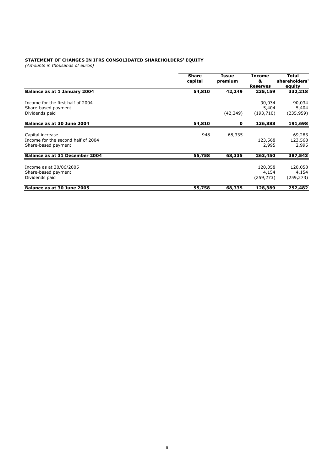#### **STATEMENT OF CHANGES IN IFRS CONSOLIDATED SHAREHOLDERS' EQUITY**

*(Amounts in thousands of euros)*

|                                                                               | <b>Share</b><br>capital | <b>Issue</b><br>premium | <b>Income</b><br>&<br><b>Reserves</b> | <b>Total</b><br>shareholders'<br>equity |
|-------------------------------------------------------------------------------|-------------------------|-------------------------|---------------------------------------|-----------------------------------------|
| Balance as at 1 January 2004                                                  | 54,810                  | 42,249                  | 235,159                               | 332,218                                 |
| Income for the first half of 2004<br>Share-based payment<br>Dividends paid    |                         | (42, 249)               | 90,034<br>5,404<br>(193, 710)         | 90,034<br>5,404<br>(235, 959)           |
| Balance as at 30 June 2004                                                    | 54,810                  | 0                       | 136,888                               | 191,698                                 |
| Capital increase<br>Income for the second half of 2004<br>Share-based payment | 948                     | 68,335                  | 123,568<br>2,995                      | 69,283<br>123,568<br>2,995              |
| Balance as at 31 December 2004                                                | 55,758                  | 68,335                  | 263,450                               | 387,543                                 |
| Income as at 30/06/2005<br>Share-based payment<br>Dividends paid              |                         |                         | 120,058<br>4,154<br>(259, 273)        | 120,058<br>4,154<br>(259, 273)          |
| Balance as at 30 June 2005                                                    | 55,758                  | 68,335                  | 128,389                               | 252,482                                 |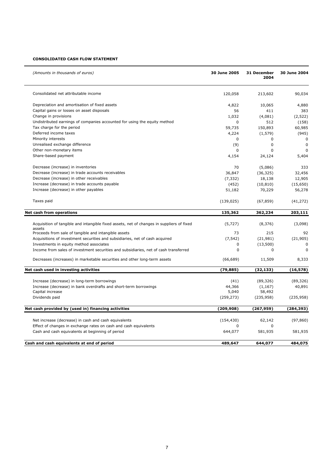# **CONSOLIDATED CASH FLOW STATEMENT**

| (Amounts in thousands of euros)                                                           | 30 June 2005 | 31 December<br>2004 | 30 June 2004 |
|-------------------------------------------------------------------------------------------|--------------|---------------------|--------------|
| Consolidated net attributable income                                                      | 120,058      | 213,602             | 90,034       |
| Depreciation and amortisation of fixed assets                                             | 4,822        | 10,065              | 4,880        |
| Capital gains or losses on asset disposals                                                | 56           | 411                 | 383          |
| Change in provisions                                                                      | 1,032        | (4,081)             | (2,522)      |
| Undistributed earnings of companies accounted for using the equity method                 | 0            | 512                 | (158)        |
| Tax charge for the period                                                                 | 59,735       | 150,893             | 60,985       |
| Deferred income taxes                                                                     | 4,224        | (1, 579)            | (945)        |
| Minority interests                                                                        | $\Omega$     | $\mathbf 0$         | $\Omega$     |
| Unrealised exchange difference                                                            | (9)          | $\mathbf 0$         | $\Omega$     |
| Other non-monetary items                                                                  | 0            | $\Omega$            | $\Omega$     |
| Share-based payment                                                                       | 4,154        | 24,124              | 5,404        |
| Decrease (increase) in inventories                                                        | 70           | (5,086)             | 333          |
| Decrease (increase) in trade accounts receivables                                         | 36,847       | (36, 325)           | 32,456       |
| Decrease (increase) in other receivables                                                  | (7, 332)     | 18,138              | 12,905       |
| Increase (decrease) in trade accounts payable                                             | (452)        | (10, 810)           | (15,650)     |
| Increase (decrease) in other payables                                                     | 51,182       | 70,229              | 56,278       |
| Taxes paid                                                                                | (139, 025)   | (67, 859)           | (41, 272)    |
| Net cash from operations                                                                  | 135,362      | 362,234             | 203,111      |
| Acquisition of tangible and intangible fixed assets, net of changes in suppliers of fixed | (5, 727)     | (8,376)             | (3,098)      |
| assets                                                                                    |              |                     |              |
| Proceeds from sale of tangible and intangible assets                                      | 73           | 215                 | 92           |
| Acquisitions of investment securities and subsidiaries, net of cash acquired              | (7, 542)     | (21, 981)           | (21, 905)    |
| Investments in equity method associates                                                   | 0            | (13,500)            | 0            |
| Income from sales of investment securities and subsidiaries, net of cash transferred      | $\Omega$     | $\Omega$            | $\Omega$     |
| Decreases (increases) in marketable securities and other long-term assets                 | (66, 689)    | 11,509              | 8,333        |
| Net cash used in investing activities                                                     | (79, 885)    | (32,133)            | (16, 578)    |
| Increase (decrease) in long-term borrowings                                               | (41)         | (89, 326)           | (89, 326)    |
| Increase (decrease) in bank overdrafts and short-term borrowings                          | 44,366       | (1, 167)            | 40,891       |
| Capital increase                                                                          | 5,040        | 58,492              |              |
| Dividends paid                                                                            | (259, 273)   | (235, 958)          | (235, 958)   |
| Net cash provided by (used in) financing activities                                       | (209, 908)   | (267, 959)          | (284, 393)   |
|                                                                                           |              |                     |              |
| Net increase (decrease) in cash and cash equivalents                                      | (154, 430)   | 62,142              | (97, 860)    |
| Effect of changes in exchange rates on cash and cash equivalents                          |              | 0                   |              |
| Cash and cash equivalents at beginning of period                                          | 644,077      | 581,935             | 581,935      |
| Cash and cash equivalents at end of period                                                | 489,647      | 644,077             | 484,075      |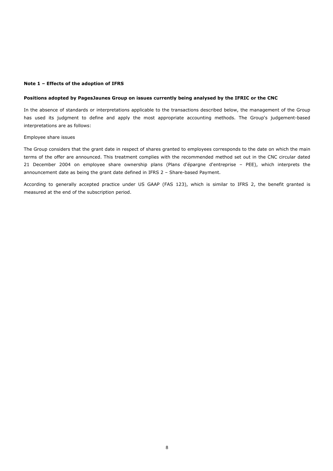## **Note 1 – Effects of the adoption of IFRS**

## **Positions adopted by PagesJaunes Group on issues currently being analysed by the IFRIC or the CNC**

In the absence of standards or interpretations applicable to the transactions described below, the management of the Group has used its judgment to define and apply the most appropriate accounting methods. The Group's judgement-based interpretations are as follows:

## Employee share issues

The Group considers that the grant date in respect of shares granted to employees corresponds to the date on which the main terms of the offer are announced. This treatment complies with the recommended method set out in the CNC circular dated 21 December 2004 on employee share ownership plans (Plans d'épargne d'entreprise – PEE), which interprets the announcement date as being the grant date defined in IFRS 2 – Share-based Payment.

According to generally accepted practice under US GAAP (FAS 123), which is similar to IFRS 2, the benefit granted is measured at the end of the subscription period.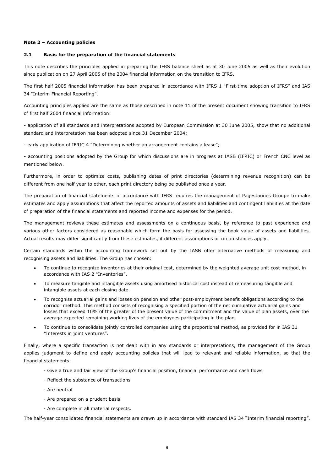## **Note 2 – Accounting policies**

## **2.1 Basis for the preparation of the financial statements**

This note describes the principles applied in preparing the IFRS balance sheet as at 30 June 2005 as well as their evolution since publication on 27 April 2005 of the 2004 financial information on the transition to IFRS.

The first half 2005 financial information has been prepared in accordance with IFRS 1 "First-time adoption of IFRS" and IAS 34 "Interim Financial Reporting".

Accounting principles applied are the same as those described in note 11 of the present document showing transition to IFRS of first half 2004 financial information:

- application of all standards and interpretations adopted by European Commission at 30 June 2005, show that no additional standard and interpretation has been adopted since 31 December 2004;

- early application of IFRIC 4 "Determining whether an arrangement contains a lease";

- accounting positions adopted by the Group for which discussions are in progress at IASB (IFRIC) or French CNC level as mentioned below.

Furthermore, in order to optimize costs, publishing dates of print directories (determining revenue recognition) can be different from one half year to other, each print directory being be published once a year.

The preparation of financial statements in accordance with IFRS requires the management of PagesJaunes Groupe to make estimates and apply assumptions that affect the reported amounts of assets and liabilities and contingent liabilities at the date of preparation of the financial statements and reported income and expenses for the period.

The management reviews these estimates and assessments on a continuous basis, by reference to past experience and various other factors considered as reasonable which form the basis for assessing the book value of assets and liabilities. Actual results may differ significantly from these estimates, if different assumptions or circumstances apply.

Certain standards within the accounting framework set out by the IASB offer alternative methods of measuring and recognising assets and liabilities. The Group has chosen:

- To continue to recognize inventories at their original cost, determined by the weighted average unit cost method, in accordance with IAS 2 "Inventories".
- To measure tangible and intangible assets using amortised historical cost instead of remeasuring tangible and intangible assets at each closing date.
- To recognise actuarial gains and losses on pension and other post-employment benefit obligations according to the corridor method. This method consists of recognising a specified portion of the net cumulative actuarial gains and losses that exceed 10% of the greater of the present value of the commitment and the value of plan assets, over the average expected remaining working lives of the employees participating in the plan.
- To continue to consolidate jointly controlled companies using the proportional method, as provided for in IAS 31 "Interests in joint ventures".

Finally, where a specific transaction is not dealt with in any standards or interpretations, the management of the Group applies judgment to define and apply accounting policies that will lead to relevant and reliable information, so that the financial statements:

- Give a true and fair view of the Group's financial position, financial performance and cash flows
- Reflect the substance of transactions
- Are neutral
- Are prepared on a prudent basis
- Are complete in all material respects.

The half-year consolidated financial statements are drawn up in accordance with standard IAS 34 "Interim financial reporting".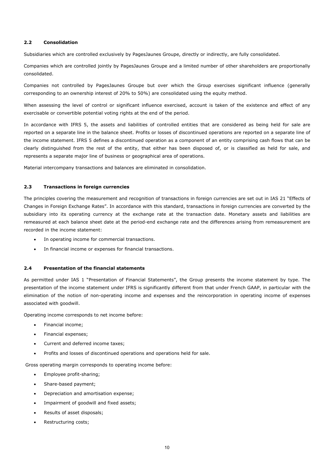## **2.2 Consolidation**

Subsidiaries which are controlled exclusively by PagesJaunes Groupe, directly or indirectly, are fully consolidated.

Companies which are controlled jointly by PagesJaunes Groupe and a limited number of other shareholders are proportionally consolidated.

Companies not controlled by PagesJaunes Groupe but over which the Group exercises significant influence (generally corresponding to an ownership interest of 20% to 50%) are consolidated using the equity method.

When assessing the level of control or significant influence exercised, account is taken of the existence and effect of any exercisable or convertible potential voting rights at the end of the period.

In accordance with IFRS 5, the assets and liabilities of controlled entities that are considered as being held for sale are reported on a separate line in the balance sheet. Profits or losses of discontinued operations are reported on a separate line of the income statement. IFRS 5 defines a discontinued operation as a component of an entity comprising cash flows that can be clearly distinguished from the rest of the entity, that either has been disposed of, or is classified as held for sale, and represents a separate major line of business or geographical area of operations.

Material intercompany transactions and balances are eliminated in consolidation.

## **2.3 Transactions in foreign currencies**

The principles covering the measurement and recognition of transactions in foreign currencies are set out in IAS 21 "Effects of Changes in Foreign Exchange Rates". In accordance with this standard, transactions in foreign currencies are converted by the subsidiary into its operating currency at the exchange rate at the transaction date. Monetary assets and liabilities are remeasured at each balance sheet date at the period-end exchange rate and the differences arising from remeasurement are recorded in the income statement:

- In operating income for commercial transactions.
- In financial income or expenses for financial transactions.

## **2.4 Presentation of the financial statements**

As permitted under IAS 1 "Presentation of Financial Statements", the Group presents the income statement by type. The presentation of the income statement under IFRS is significantly different from that under French GAAP, in particular with the elimination of the notion of non-operating income and expenses and the reincorporation in operating income of expenses associated with goodwill.

Operating income corresponds to net income before:

- Financial income;
- Financial expenses;
- Current and deferred income taxes;
- Profits and losses of discontinued operations and operations held for sale.

Gross operating margin corresponds to operating income before:

- Employee profit-sharing;
- Share-based payment;
- Depreciation and amortisation expense;
- Impairment of goodwill and fixed assets;
- Results of asset disposals;
- Restructuring costs;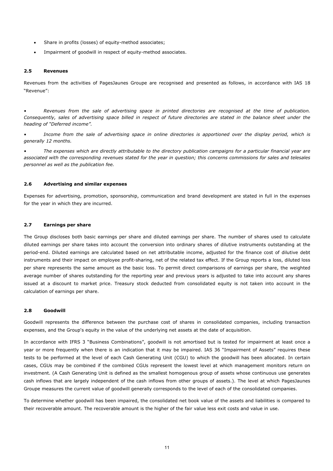- Share in profits (losses) of equity-method associates;
- Impairment of goodwill in respect of equity-method associates.

## **2.5 Revenues**

Revenues from the activities of PagesJaunes Groupe are recognised and presented as follows, in accordance with IAS 18 "Revenue":

*• Revenues from the sale of advertising space in printed directories are recognised at the time of publication. Consequently, sales of advertising space billed in respect of future directories are stated in the balance sheet under the heading of "Deferred income".* 

Income from the sale of advertising space in online directories is apportioned over the display period, which is *generally 12 months.* 

*• The expenses which are directly attributable to the directory publication campaigns for a particular financial year are associated with the corresponding revenues stated for the year in question; this concerns commissions for sales and telesales personnel as well as the publication fee.* 

## **2.6 Advertising and similar expenses**

Expenses for advertising, promotion, sponsorship, communication and brand development are stated in full in the expenses for the year in which they are incurred.

## **2.7 Earnings per share**

The Group discloses both basic earnings per share and diluted earnings per share. The number of shares used to calculate diluted earnings per share takes into account the conversion into ordinary shares of dilutive instruments outstanding at the period-end. Diluted earnings are calculated based on net attributable income, adjusted for the finance cost of dilutive debt instruments and their impact on employee profit-sharing, net of the related tax effect. If the Group reports a loss, diluted loss per share represents the same amount as the basic loss. To permit direct comparisons of earnings per share, the weighted average number of shares outstanding for the reporting year and previous years is adjusted to take into account any shares issued at a discount to market price. Treasury stock deducted from consolidated equity is not taken into account in the calculation of earnings per share.

### **2.8 Goodwill**

Goodwill represents the difference between the purchase cost of shares in consolidated companies, including transaction expenses, and the Group's equity in the value of the underlying net assets at the date of acquisition.

In accordance with IFRS 3 "Business Combinations", goodwill is not amortised but is tested for impairment at least once a year or more frequently when there is an indication that it may be impaired. IAS 36 "Impairment of Assets" requires these tests to be performed at the level of each Cash Generating Unit (CGU) to which the goodwill has been allocated. In certain cases, CGUs may be combined if the combined CGUs represent the lowest level at which management monitors return on investment. (A Cash Generating Unit is defined as the smallest homogenous group of assets whose continuous use generates cash inflows that are largely independent of the cash inflows from other groups of assets.). The level at which PagesJaunes Groupe measures the current value of goodwill generally corresponds to the level of each of the consolidated companies.

To determine whether goodwill has been impaired, the consolidated net book value of the assets and liabilities is compared to their recoverable amount. The recoverable amount is the higher of the fair value less exit costs and value in use.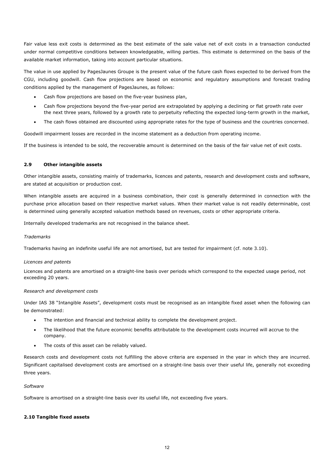Fair value less exit costs is determined as the best estimate of the sale value net of exit costs in a transaction conducted under normal competitive conditions between knowledgeable, willing parties. This estimate is determined on the basis of the available market information, taking into account particular situations.

The value in use applied by PagesJaunes Groupe is the present value of the future cash flows expected to be derived from the CGU, including goodwill. Cash flow projections are based on economic and regulatory assumptions and forecast trading conditions applied by the management of PagesJaunes, as follows:

- Cash flow projections are based on the five-year business plan,
- Cash flow projections beyond the five-year period are extrapolated by applying a declining or flat growth rate over the next three years, followed by a growth rate to perpetuity reflecting the expected long-term growth in the market,
- The cash flows obtained are discounted using appropriate rates for the type of business and the countries concerned.

Goodwill impairment losses are recorded in the income statement as a deduction from operating income.

If the business is intended to be sold, the recoverable amount is determined on the basis of the fair value net of exit costs.

## **2.9 Other intangible assets**

Other intangible assets, consisting mainly of trademarks, licences and patents, research and development costs and software, are stated at acquisition or production cost.

When intangible assets are acquired in a business combination, their cost is generally determined in connection with the purchase price allocation based on their respective market values. When their market value is not readily determinable, cost is determined using generally accepted valuation methods based on revenues, costs or other appropriate criteria.

Internally developed trademarks are not recognised in the balance sheet.

## *Trademarks*

Trademarks having an indefinite useful life are not amortised, but are tested for impairment (cf. note 3.10).

## *Licences and patents*

Licences and patents are amortised on a straight-line basis over periods which correspond to the expected usage period, not exceeding 20 years.

## *Research and development costs*

Under IAS 38 "Intangible Assets", development costs must be recognised as an intangible fixed asset when the following can be demonstrated:

- The intention and financial and technical ability to complete the development project.
- The likelihood that the future economic benefits attributable to the development costs incurred will accrue to the company.
- The costs of this asset can be reliably valued.

Research costs and development costs not fulfilling the above criteria are expensed in the year in which they are incurred. Significant capitalised development costs are amortised on a straight-line basis over their useful life, generally not exceeding three years.

## *Software*

Software is amortised on a straight-line basis over its useful life, not exceeding five years.

# **2.10 Tangible fixed assets**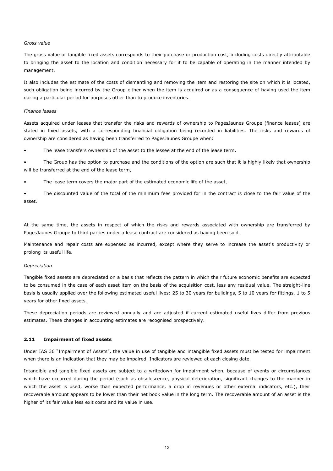#### *Gross value*

The gross value of tangible fixed assets corresponds to their purchase or production cost, including costs directly attributable to bringing the asset to the location and condition necessary for it to be capable of operating in the manner intended by management.

It also includes the estimate of the costs of dismantling and removing the item and restoring the site on which it is located, such obligation being incurred by the Group either when the item is acquired or as a consequence of having used the item during a particular period for purposes other than to produce inventories.

#### *Finance leases*

Assets acquired under leases that transfer the risks and rewards of ownership to PagesJaunes Groupe (finance leases) are stated in fixed assets, with a corresponding financial obligation being recorded in liabilities. The risks and rewards of ownership are considered as having been transferred to PagesJaunes Groupe when:

The lease transfers ownership of the asset to the lessee at the end of the lease term,

The Group has the option to purchase and the conditions of the option are such that it is highly likely that ownership will be transferred at the end of the lease term,

The lease term covers the major part of the estimated economic life of the asset,

• The discounted value of the total of the minimum fees provided for in the contract is close to the fair value of the asset.

At the same time, the assets in respect of which the risks and rewards associated with ownership are transferred by PagesJaunes Groupe to third parties under a lease contract are considered as having been sold.

Maintenance and repair costs are expensed as incurred, except where they serve to increase the asset's productivity or prolong its useful life.

## *Depreciation*

Tangible fixed assets are depreciated on a basis that reflects the pattern in which their future economic benefits are expected to be consumed in the case of each asset item on the basis of the acquisition cost, less any residual value. The straight-line basis is usually applied over the following estimated useful lives: 25 to 30 years for buildings, 5 to 10 years for fittings, 1 to 5 years for other fixed assets.

These depreciation periods are reviewed annually and are adjusted if current estimated useful lives differ from previous estimates. These changes in accounting estimates are recognised prospectively.

## **2.11 Impairment of fixed assets**

Under IAS 36 "Impairment of Assets", the value in use of tangible and intangible fixed assets must be tested for impairment when there is an indication that they may be impaired. Indicators are reviewed at each closing date.

Intangible and tangible fixed assets are subject to a writedown for impairment when, because of events or circumstances which have occurred during the period (such as obsolescence, physical deterioration, significant changes to the manner in which the asset is used, worse than expected performance, a drop in revenues or other external indicators, etc.), their recoverable amount appears to be lower than their net book value in the long term. The recoverable amount of an asset is the higher of its fair value less exit costs and its value in use.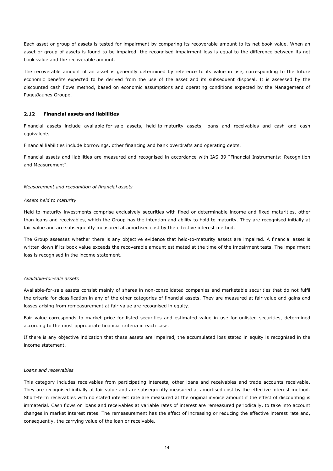Each asset or group of assets is tested for impairment by comparing its recoverable amount to its net book value. When an asset or group of assets is found to be impaired, the recognised impairment loss is equal to the difference between its net book value and the recoverable amount.

The recoverable amount of an asset is generally determined by reference to its value in use, corresponding to the future economic benefits expected to be derived from the use of the asset and its subsequent disposal. It is assessed by the discounted cash flows method, based on economic assumptions and operating conditions expected by the Management of PagesJaunes Groupe.

## **2.12 Financial assets and liabilities**

Financial assets include available-for-sale assets, held-to-maturity assets, loans and receivables and cash and cash equivalents.

Financial liabilities include borrowings, other financing and bank overdrafts and operating debts.

Financial assets and liabilities are measured and recognised in accordance with IAS 39 "Financial Instruments: Recognition and Measurement".

#### *Measurement and recognition of financial assets*

#### *Assets held to maturity*

Held-to-maturity investments comprise exclusively securities with fixed or determinable income and fixed maturities, other than loans and receivables, which the Group has the intention and ability to hold to maturity. They are recognised initially at fair value and are subsequently measured at amortised cost by the effective interest method.

The Group assesses whether there is any objective evidence that held-to-maturity assets are impaired. A financial asset is written down if its book value exceeds the recoverable amount estimated at the time of the impairment tests. The impairment loss is recognised in the income statement.

## *Available-for-sale assets*

Available-for-sale assets consist mainly of shares in non-consolidated companies and marketable securities that do not fulfil the criteria for classification in any of the other categories of financial assets. They are measured at fair value and gains and losses arising from remeasurement at fair value are recognised in equity.

Fair value corresponds to market price for listed securities and estimated value in use for unlisted securities, determined according to the most appropriate financial criteria in each case.

If there is any objective indication that these assets are impaired, the accumulated loss stated in equity is recognised in the income statement.

## *Loans and receivables*

This category includes receivables from participating interests, other loans and receivables and trade accounts receivable. They are recognised initially at fair value and are subsequently measured at amortised cost by the effective interest method. Short-term receivables with no stated interest rate are measured at the original invoice amount if the effect of discounting is immaterial. Cash flows on loans and receivables at variable rates of interest are remeasured periodically, to take into account changes in market interest rates. The remeasurement has the effect of increasing or reducing the effective interest rate and, consequently, the carrying value of the loan or receivable.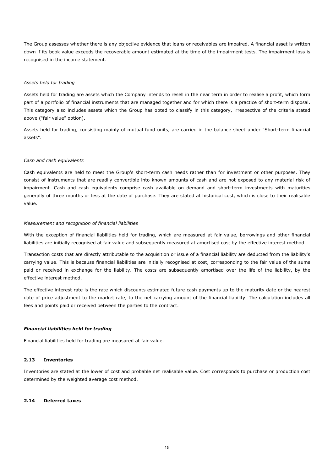The Group assesses whether there is any objective evidence that loans or receivables are impaired. A financial asset is written down if its book value exceeds the recoverable amount estimated at the time of the impairment tests. The impairment loss is recognised in the income statement.

## *Assets held for trading*

Assets held for trading are assets which the Company intends to resell in the near term in order to realise a profit, which form part of a portfolio of financial instruments that are managed together and for which there is a practice of short-term disposal. This category also includes assets which the Group has opted to classify in this category, irrespective of the criteria stated above ("fair value" option).

Assets held for trading, consisting mainly of mutual fund units, are carried in the balance sheet under "Short-term financial assets".

## *Cash and cash equivalents*

Cash equivalents are held to meet the Group's short-term cash needs rather than for investment or other purposes. They consist of instruments that are readily convertible into known amounts of cash and are not exposed to any material risk of impairment. Cash and cash equivalents comprise cash available on demand and short-term investments with maturities generally of three months or less at the date of purchase. They are stated at historical cost, which is close to their realisable value.

## *Measurement and recognition of financial liabilities*

With the exception of financial liabilities held for trading, which are measured at fair value, borrowings and other financial liabilities are initially recognised at fair value and subsequently measured at amortised cost by the effective interest method.

Transaction costs that are directly attributable to the acquisition or issue of a financial liability are deducted from the liability's carrying value. This is because financial liabilities are initially recognised at cost, corresponding to the fair value of the sums paid or received in exchange for the liability. The costs are subsequently amortised over the life of the liability, by the effective interest method.

The effective interest rate is the rate which discounts estimated future cash payments up to the maturity date or the nearest date of price adjustment to the market rate, to the net carrying amount of the financial liability. The calculation includes all fees and points paid or received between the parties to the contract.

## *Financial liabilities held for trading*

Financial liabilities held for trading are measured at fair value.

## **2.13 Inventories**

Inventories are stated at the lower of cost and probable net realisable value. Cost corresponds to purchase or production cost determined by the weighted average cost method.

# **2.14 Deferred taxes**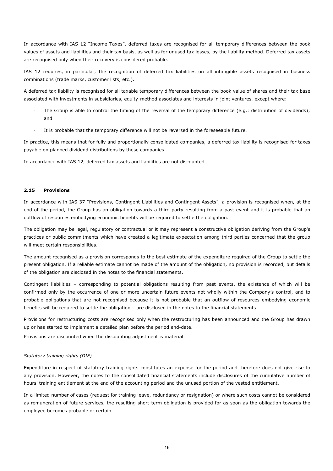In accordance with IAS 12 "Income Taxes", deferred taxes are recognised for all temporary differences between the book values of assets and liabilities and their tax basis, as well as for unused tax losses, by the liability method. Deferred tax assets are recognised only when their recovery is considered probable.

IAS 12 requires, in particular, the recognition of deferred tax liabilities on all intangible assets recognised in business combinations (trade marks, customer lists, etc.).

A deferred tax liability is recognised for all taxable temporary differences between the book value of shares and their tax base associated with investments in subsidiaries, equity-method associates and interests in joint ventures, except where:

- The Group is able to control the timing of the reversal of the temporary difference (e.g.: distribution of dividends); and
- It is probable that the temporary difference will not be reversed in the foreseeable future.

In practice, this means that for fully and proportionally consolidated companies, a deferred tax liability is recognised for taxes payable on planned dividend distributions by these companies.

In accordance with IAS 12, deferred tax assets and liabilities are not discounted.

## **2.15 Provisions**

In accordance with IAS 37 "Provisions, Contingent Liabilities and Contingent Assets", a provision is recognised when, at the end of the period, the Group has an obligation towards a third party resulting from a past event and it is probable that an outflow of resources embodying economic benefits will be required to settle the obligation.

The obligation may be legal, regulatory or contractual or it may represent a constructive obligation deriving from the Group's practices or public commitments which have created a legitimate expectation among third parties concerned that the group will meet certain responsibilities.

The amount recognised as a provision corresponds to the best estimate of the expenditure required of the Group to settle the present obligation. If a reliable estimate cannot be made of the amount of the obligation, no provision is recorded, but details of the obligation are disclosed in the notes to the financial statements.

Contingent liabilities – corresponding to potential obligations resulting from past events, the existence of which will be confirmed only by the occurrence of one or more uncertain future events not wholly within the Company's control, and to probable obligations that are not recognised because it is not probable that an outflow of resources embodying economic benefits will be required to settle the obligation – are disclosed in the notes to the financial statements.

Provisions for restructuring costs are recognised only when the restructuring has been announced and the Group has drawn up or has started to implement a detailed plan before the period end-date.

Provisions are discounted when the discounting adjustment is material.

#### *Statutory training rights (DIF)*

Expenditure in respect of statutory training rights constitutes an expense for the period and therefore does not give rise to any provision. However, the notes to the consolidated financial statements include disclosures of the cumulative number of hours' training entitlement at the end of the accounting period and the unused portion of the vested entitlement.

In a limited number of cases (request for training leave, redundancy or resignation) or where such costs cannot be considered as remuneration of future services, the resulting short-term obligation is provided for as soon as the obligation towards the employee becomes probable or certain.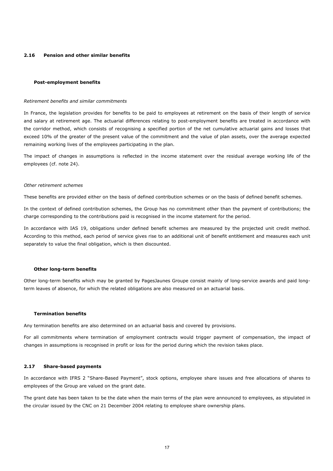## **2.16 Pension and other similar benefits**

#### **Post-employment benefits**

#### *Retirement benefits and similar commitments*

In France, the legislation provides for benefits to be paid to employees at retirement on the basis of their length of service and salary at retirement age. The actuarial differences relating to post-employment benefits are treated in accordance with the corridor method, which consists of recognising a specified portion of the net cumulative actuarial gains and losses that exceed 10% of the greater of the present value of the commitment and the value of plan assets, over the average expected remaining working lives of the employees participating in the plan.

The impact of changes in assumptions is reflected in the income statement over the residual average working life of the employees (cf. note 24).

#### *Other retirement schemes*

These benefits are provided either on the basis of defined contribution schemes or on the basis of defined benefit schemes.

In the context of defined contribution schemes, the Group has no commitment other than the payment of contributions; the charge corresponding to the contributions paid is recognised in the income statement for the period.

In accordance with IAS 19, obligations under defined benefit schemes are measured by the projected unit credit method. According to this method, each period of service gives rise to an additional unit of benefit entitlement and measures each unit separately to value the final obligation, which is then discounted.

#### **Other long-term benefits**

Other long-term benefits which may be granted by PagesJaunes Groupe consist mainly of long-service awards and paid longterm leaves of absence, for which the related obligations are also measured on an actuarial basis.

#### **Termination benefits**

Any termination benefits are also determined on an actuarial basis and covered by provisions.

For all commitments where termination of employment contracts would trigger payment of compensation, the impact of changes in assumptions is recognised in profit or loss for the period during which the revision takes place.

## **2.17 Share-based payments**

In accordance with IFRS 2 "Share-Based Payment", stock options, employee share issues and free allocations of shares to employees of the Group are valued on the grant date.

The grant date has been taken to be the date when the main terms of the plan were announced to employees, as stipulated in the circular issued by the CNC on 21 December 2004 relating to employee share ownership plans.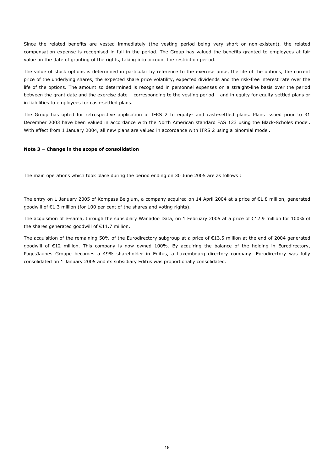Since the related benefits are vested immediately (the vesting period being very short or non-existent), the related compensation expense is recognised in full in the period. The Group has valued the benefits granted to employees at fair value on the date of granting of the rights, taking into account the restriction period.

The value of stock options is determined in particular by reference to the exercise price, the life of the options, the current price of the underlying shares, the expected share price volatility, expected dividends and the risk-free interest rate over the life of the options. The amount so determined is recognised in personnel expenses on a straight-line basis over the period between the grant date and the exercise date – corresponding to the vesting period – and in equity for equity-settled plans or in liabilities to employees for cash-settled plans.

The Group has opted for retrospective application of IFRS 2 to equity- and cash-settled plans. Plans issued prior to 31 December 2003 have been valued in accordance with the North American standard FAS 123 using the Black-Scholes model. With effect from 1 January 2004, all new plans are valued in accordance with IFRS 2 using a binomial model.

## **Note 3 – Change in the scope of consolidation**

The main operations which took place during the period ending on 30 June 2005 are as follows :

The entry on 1 January 2005 of Kompass Belgium, a company acquired on 14 April 2004 at a price of €1.8 million, generated goodwill of €1.3 million (for 100 per cent of the shares and voting rights).

The acquisition of e-sama, through the subsidiary Wanadoo Data, on 1 February 2005 at a price of €12.9 million for 100% of the shares generated goodwill of €11.7 million.

The acquisition of the remaining 50% of the Eurodirectory subgroup at a price of €13.5 million at the end of 2004 generated goodwill of €12 million. This company is now owned 100%. By acquiring the balance of the holding in Eurodirectory, PagesJaunes Groupe becomes a 49% shareholder in Editus, a Luxembourg directory company. Eurodirectory was fully consolidated on 1 January 2005 and its subsidiary Editus was proportionally consolidated.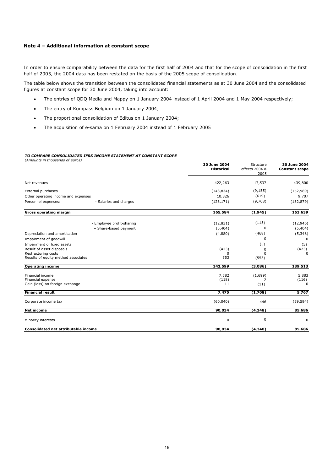## **Note 4 – Additional information at constant scope**

In order to ensure comparability between the data for the first half of 2004 and that for the scope of consolidation in the first half of 2005, the 2004 data has been restated on the basis of the 2005 scope of consolidation.

The table below shows the transition between the consolidated financial statements as at 30 June 2004 and the consolidated figures at constant scope for 30 June 2004, taking into account:

• The entries of QDQ Media and Mappy on 1 January 2004 instead of 1 April 2004 and 1 May 2004 respectively;

**30 June 2004**

Structure

**30 June 2004**

- The entry of Kompass Belgium on 1 January 2004;
- The proportional consolidation of Editus on 1 January 2004;
- The acquisition of e-sama on 1 February 2004 instead of 1 February 2005

#### *TO COMPARE CONSOLIDATED IFRS INCOME STATEMENT AT CONSTANT SCOPE*

*(Amounts in thousands of euros)*

|                                               | <b>Historical</b> | effects 2004 &<br>2005 | <b>Constant scope</b> |
|-----------------------------------------------|-------------------|------------------------|-----------------------|
| Net revenues                                  | 422,263           | 17,537                 | 439,800               |
| External purchases                            | (143, 834)        | (9, 155)               | (152, 989)            |
| Other operating income and expenses           | 10,326            | (619)                  | 9,707                 |
| Personnel expenses:<br>- Salaries and charges | (123, 171)        | (9,708)                | (132, 879)            |
| <b>Gross operating margin</b>                 | 165,584           | (1,945)                | 163,639               |
| - Employee profit-sharing                     | (12, 831)         | (115)                  | (12, 946)             |
| - Share-based payment                         | (5,404)           | 0                      | (5,404)               |
| Depreciation and amortisation                 | (4,880)           | (468)                  | (5, 348)              |
| Impairment of goodwill                        |                   | $\Omega$               | $\Omega$              |
| Impairment of fixed assets                    |                   | (5)                    | (5)                   |
| Result of asset disposals                     | (423)             | 0                      | (423)                 |
| Restructuring costs                           | 0                 |                        | 0                     |
| Results of equity method associates           | 553               | (553)                  |                       |
| <b>Operating income</b>                       | 142,599           | (3,086)                | 139,513               |
| Financial income                              | 7,582             | (1,699)                | 5,883                 |
| Financial expense                             | (118)             | 2                      | (116)                 |
| Gain (loss) on foreign exchange               | 11                | (11)                   | <sup>0</sup>          |
| <b>Financial result</b>                       | 7,475             | (1,708)                | 5,767                 |
| Corporate income tax                          | (60, 040)         | 446                    | (59, 594)             |
| <b>Net income</b>                             | 90,034            | (4, 348)               | 85,686                |
| Minority interests                            | $\mathbf 0$       | 0                      | 0                     |
| Consolidated net attributable income          | 90,034            | (4, 348)               | 85,686                |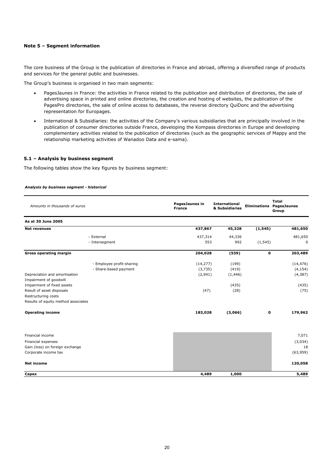## **Note 5 – Segment information**

The core business of the Group is the publication of directories in France and abroad, offering a diversified range of products and services for the general public and businesses.

The Group's business is organised in two main segments:

- PagesJaunes in France: the activities in France related to the publication and distribution of directories, the sale of advertising space in printed and online directories, the creation and hosting of websites, the publication of the PagesPro directories, the sale of online access to databases, the reverse directory QuiDonc and the advertising representation for Europages.
- International & Subsidiaries: the activities of the Company's various subsidiaries that are principally involved in the publication of consumer directories outside France, developing the Kompass directories in Europe and developing complementary activities related to the publication of directories (such as the geographic services of Mappy and the relationship marketing activities of Wanadoo Data and e-sama).

## **5.1 – Analysis by business segment**

The following tables show the key figures by business segment:

## *Analysis by business segment - historical*

| Amounts in thousands of euros                              |                           | PagesJaunes in<br><b>France</b> | <b>International</b><br>& Subsidiaries |             | <b>Total</b><br><b>Eliminations PagesJaunes</b><br>Group |
|------------------------------------------------------------|---------------------------|---------------------------------|----------------------------------------|-------------|----------------------------------------------------------|
| As at 30 June 2005                                         |                           |                                 |                                        |             |                                                          |
| <b>Net revenues</b>                                        |                           | 437,867                         | 45,328                                 | (1, 545)    | 481,650                                                  |
|                                                            | - External                | 437,314                         | 44,336                                 |             | 481,650                                                  |
|                                                            | - Intersegment            | 553                             | 992                                    | (1, 545)    | 0                                                        |
| <b>Gross operating margin</b>                              |                           | 204,028                         | (539)                                  | $\mathbf 0$ | 203,489                                                  |
|                                                            | - Employee profit-sharing | (14, 277)                       | (199)                                  |             | (14, 476)                                                |
|                                                            | - Share-based payment     | (3,735)                         | (419)                                  |             | (4, 154)                                                 |
| Depreciation and amortisation<br>Impairment of goodwill    |                           | (2,941)                         | (1, 446)                               |             | (4, 387)                                                 |
| Impairment of fixed assets                                 |                           |                                 | (435)                                  |             | (435)                                                    |
| Result of asset disposals                                  |                           | (47)                            | (28)                                   |             | (75)                                                     |
| Restructuring costs<br>Results of equity method associates |                           |                                 |                                        |             |                                                          |
| <b>Operating income</b>                                    |                           | 183,028                         | (3,066)                                | 0           | 179,962                                                  |
|                                                            |                           |                                 |                                        |             |                                                          |
| Financial income                                           |                           |                                 |                                        |             | 7,071                                                    |
| Financial expenses<br>Gain (loss) on foreign exchange      |                           |                                 |                                        |             | (3,034)<br>18                                            |
| Corporate income tax                                       |                           |                                 |                                        |             | (63,959)                                                 |
| <b>Net income</b>                                          |                           |                                 |                                        |             | 120,058                                                  |
| Capex                                                      |                           | 4,489                           | 1,000                                  |             | 5,489                                                    |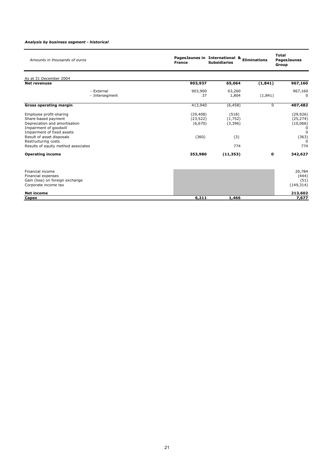## *Analysis by business segment - historical*

| Amounts in thousands of euros                                                                                                                                                                                                      | PagesJaunes in International & Eliminations<br><b>France</b> | <b>Subsidiaries</b>                        |          | <b>Total</b><br><b>PagesJaunes</b><br>Group                              |
|------------------------------------------------------------------------------------------------------------------------------------------------------------------------------------------------------------------------------------|--------------------------------------------------------------|--------------------------------------------|----------|--------------------------------------------------------------------------|
| As at 31 December 2004                                                                                                                                                                                                             |                                                              |                                            |          |                                                                          |
| <b>Net revenues</b>                                                                                                                                                                                                                | 903,937                                                      | 65,064                                     | (1, 841) | 967,160                                                                  |
| - External<br>- Intersegment                                                                                                                                                                                                       | 903,900<br>37                                                | 63,260<br>1,804                            | (1,841)  | 967,160<br><sup>0</sup>                                                  |
| <b>Gross operating margin</b>                                                                                                                                                                                                      | 413,940                                                      | (6, 458)                                   | 0        | 407,482                                                                  |
| Employee profit-sharing<br>Share-based payment<br>Depreciation and amortisation<br>Impairment of goodwill<br>Impairment of fixed assets<br>Result of asset disposals<br>Restructuring costs<br>Results of equity method associates | (29, 408)<br>(23, 522)<br>(6,670)<br>(360)                   | (518)<br>(1,752)<br>(3, 396)<br>(3)<br>774 |          | (29, 926)<br>(25, 274)<br>(10,066)<br>0<br>$\Omega$<br>(363)<br>0<br>774 |
| <b>Operating income</b>                                                                                                                                                                                                            | 353,980                                                      | (11, 353)                                  | 0        | 342,627                                                                  |
| Financial income<br>Financial expenses<br>Gain (loss) on foreign exchange<br>Corporate income tax                                                                                                                                  |                                                              |                                            |          | 20,784<br>(444)<br>(51)<br>(149, 314)                                    |
| <b>Net income</b>                                                                                                                                                                                                                  |                                                              |                                            |          | 213,602                                                                  |
| Capex                                                                                                                                                                                                                              | 6,211                                                        | 1,466                                      |          | 7,677                                                                    |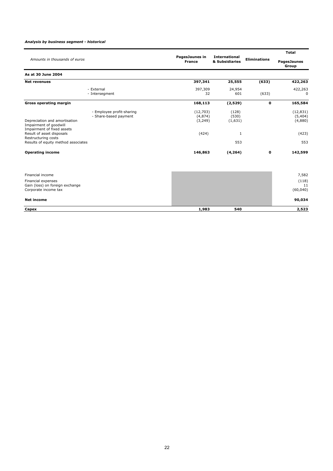## *Analysis by business segment - historical*

|                                                                                |                                                    |                                 |                                        |                     | <b>Total</b>                    |
|--------------------------------------------------------------------------------|----------------------------------------------------|---------------------------------|----------------------------------------|---------------------|---------------------------------|
| Amounts in thousands of euros                                                  |                                                    | PagesJaunes in<br><b>France</b> | <b>International</b><br>& Subsidiaries | <b>Eliminations</b> | <b>PagesJaunes</b><br>Group     |
| As at 30 June 2004                                                             |                                                    |                                 |                                        |                     |                                 |
| <b>Net revenues</b>                                                            |                                                    | 397,341                         | 25,555                                 | (633)               | 422,263                         |
|                                                                                | - External<br>- Intersegment                       | 397,309<br>32                   | 24,954<br>601                          | (633)               | 422,263<br><sup>0</sup>         |
| <b>Gross operating margin</b>                                                  |                                                    | 168,113                         | (2,529)                                | 0                   | 165,584                         |
| Depreciation and amortisation<br>Impairment of goodwill                        | - Employee profit-sharing<br>- Share-based payment | (12,703)<br>(4,874)<br>(3,249)  | (128)<br>(530)<br>(1,631)              |                     | (12, 831)<br>(5,404)<br>(4,880) |
| Impairment of fixed assets<br>Result of asset disposals<br>Restructuring costs |                                                    | (424)                           | 1                                      |                     | (423)                           |
| Results of equity method associates                                            |                                                    |                                 | 553                                    |                     | 553                             |
| <b>Operating income</b>                                                        |                                                    | 146,863                         | (4, 264)                               | 0                   | 142,599                         |
| Financial income                                                               |                                                    |                                 |                                        |                     | 7,582                           |
| Financial expenses<br>Gain (loss) on foreign exchange<br>Corporate income tax  |                                                    |                                 |                                        |                     | (118)<br>11<br>(60, 040)        |
| <b>Net income</b>                                                              |                                                    |                                 |                                        |                     | 90,034                          |
| Capex                                                                          |                                                    | 1,983                           | 540                                    |                     | 2,523                           |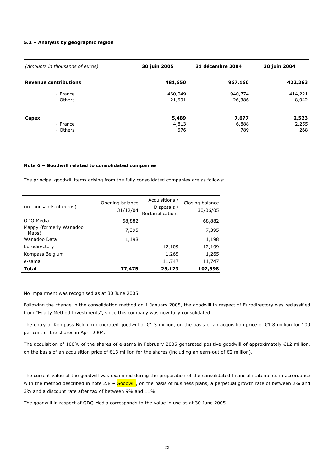## **5.2 – Analysis by geographic region**

| (Amounts in thousands of euros) | 30 juin 2005 | 31 décembre 2004 | 30 juin 2004 |
|---------------------------------|--------------|------------------|--------------|
| <b>Revenue contributions</b>    | 481,650      | 967,160          | 422,263      |
| - France                        | 460,049      | 940,774          | 414,221      |
| - Others                        | 21,601       | 26,386           | 8,042        |
| Capex                           | 5,489        | 7,677            | 2,523        |
| - France                        | 4,813        | 6,888            | 2,255        |
| - Others                        | 676          | 789              | 268          |

## **Note 6 – Goodwill related to consolidated companies**

The principal goodwill items arising from the fully consolidated companies are as follows:

| (in thousands of euros)          | Opening balance<br>31/12/04 | Acquisitions /<br>Disposals /<br>Reclassifications | Closing balance<br>30/06/05 |
|----------------------------------|-----------------------------|----------------------------------------------------|-----------------------------|
| QDQ Media                        | 68,882                      |                                                    | 68,882                      |
| Mappy (formerly Wanadoo<br>Maps) | 7,395                       |                                                    | 7,395                       |
| Wanadoo Data                     | 1,198                       |                                                    | 1,198                       |
| Eurodirectory                    |                             | 12,109                                             | 12,109                      |
| Kompass Belgium                  |                             | 1,265                                              | 1,265                       |
| e-sama                           |                             | 11,747                                             | 11,747                      |
| <b>Total</b>                     | 77,475                      | 25,123                                             | 102,598                     |

No impairment was recognised as at 30 June 2005.

Following the change in the consolidation method on 1 January 2005, the goodwill in respect of Eurodirectory was reclassified from "Equity Method Investments", since this company was now fully consolidated.

The entry of Kompass Belgium generated goodwill of €1.3 million, on the basis of an acquisition price of €1.8 million for 100 per cent of the shares in April 2004.

The acquisition of 100% of the shares of e-sama in February 2005 generated positive goodwill of approximately €12 million, on the basis of an acquisition price of €13 million for the shares (including an earn-out of €2 million).

The current value of the goodwill was examined during the preparation of the consolidated financial statements in accordance with the method described in note 2.8 - Goodwill, on the basis of business plans, a perpetual growth rate of between 2% and 3% and a discount rate after tax of between 9% and 11%.

The goodwill in respect of QDQ Media corresponds to the value in use as at 30 June 2005.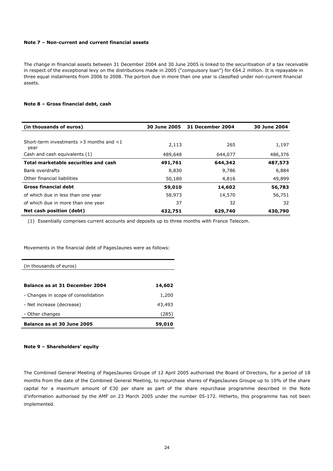## **Note 7 – Non-current and current financial assets**

The change in financial assets between 31 December 2004 and 30 June 2005 is linked to the securitisation of a tax receivable in respect of the exceptional levy on the distributions made in 2005 ("compulsory loan") for €64.2 million. It is repayable in three equal instalments from 2006 to 2008. The portion due in more than one year is classified under non-current financial assets.

## **Note 8 – Gross financial debt, cash**

| (in thousands of euros)                               | <b>30 June 2005</b> | 31 December 2004 | 30 June 2004 |
|-------------------------------------------------------|---------------------|------------------|--------------|
|                                                       |                     |                  |              |
| Short-term investments $>$ 3 months and $<$ 1<br>year | 2,113               | 265              | 1,197        |
| Cash and cash equivalents (1)                         | 489,648             | 644,077          | 486,376      |
| Total marketable securities and cash                  | 491,761             | 644,342          | 487,573      |
| Bank overdrafts                                       | 8,830               | 9,786            | 6,884        |
| Other financial liabilities                           | 50,180              | 4,816            | 49,899       |
| <b>Gross financial debt</b>                           | 59,010              | 14,602           | 56,783       |
| of which due in less than one year                    | 58,973              | 14,570           | 56,751       |
| of which due in more than one year                    | 37                  | 32               | 32           |
| Net cash position (debt)                              | 432,751             | 629,740          | 430,790      |

(1) Essentially comprises current accounts and deposits up to three months with France Telecom.

Movements in the financial debt of PagesJaunes were as follows:

| <b>Balance as at 30 June 2005</b>   | 59,010 |
|-------------------------------------|--------|
| - Other changes                     | (285)  |
| - Net increase (decrease)           | 43,493 |
| - Changes in scope of consolidation | 1,200  |
| Balance as at 31 December 2004      | 14,602 |
| (in thousands of euros)             |        |
|                                     |        |

## **Note 9 – Shareholders' equity**

The Combined General Meeting of PagesJaunes Groupe of 12 April 2005 authorised the Board of Directors, for a period of 18 months from the date of the Combined General Meeting, to repurchase shares of PagesJaunes Groupe up to 10% of the share capital for a maximum amount of €30 per share as part of the share repurchase programme described in the Note d'information authorised by the AMF on 23 March 2005 under the number 05-172. Hitherto, this programme has not been implemented.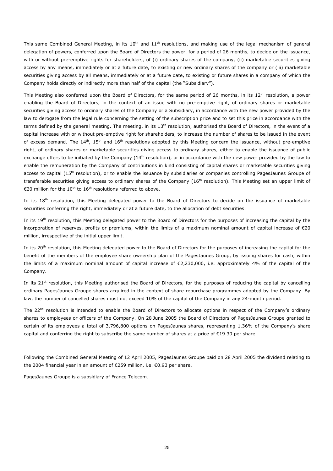This same Combined General Meeting, in its  $10^{th}$  and  $11^{th}$  resolutions, and making use of the legal mechanism of general delegation of powers, conferred upon the Board of Directors the power, for a period of 26 months, to decide on the issuance, with or without pre-emptive rights for shareholders, of (i) ordinary shares of the company, (ii) marketable securities giving access by any means, immediately or at a future date, to existing or new ordinary shares of the company or (iii) marketable securities giving access by all means, immediately or at a future date, to existing or future shares in a company of which the Company holds directly or indirectly more than half of the capital (the "Subsidiary").

This Meeting also conferred upon the Board of Directors, for the same period of 26 months, in its  $12<sup>th</sup>$  resolution, a power enabling the Board of Directors, in the context of an issue with no pre-emptive right, of ordinary shares or marketable securities giving access to ordinary shares of the Company or a Subsidiary, in accordance with the new power provided by the law to derogate from the legal rule concerning the setting of the subscription price and to set this price in accordance with the terms defined by the general meeting. The meeting, in its 13<sup>th</sup> resolution, authorised the Board of Directors, in the event of a capital increase with or without pre-emptive right for shareholders, to increase the number of shares to be issued in the event of excess demand. The 14<sup>th</sup>, 15<sup>th</sup> and 16<sup>th</sup> resolutions adopted by this Meeting concern the issuance, without pre-emptive right, of ordinary shares or marketable securities giving access to ordinary shares, either to enable the issuance of public exchange offers to be initiated by the Company  $(14^{th}$  resolution), or in accordance with the new power provided by the law to enable the remuneration by the Company of contributions in kind consisting of capital shares or marketable securities giving access to capital  $(15<sup>th</sup>$  resolution), or to enable the issuance by subsidiaries or companies controlling PagesJaunes Groupe of transferable securities giving access to ordinary shares of the Company (16<sup>th</sup> resolution). This Meeting set an upper limit of €20 million for the 10<sup>th</sup> to 16<sup>th</sup> resolutions referred to above.

In its 18<sup>th</sup> resolution, this Meeting delegated power to the Board of Directors to decide on the issuance of marketable securities conferring the right, immediately or at a future date, to the allocation of debt securities.

In its 19<sup>th</sup> resolution, this Meeting delegated power to the Board of Directors for the purposes of increasing the capital by the incorporation of reserves, profits or premiums, within the limits of a maximum nominal amount of capital increase of €20 million, irrespective of the initial upper limit.

In its 20<sup>th</sup> resolution, this Meeting delegated power to the Board of Directors for the purposes of increasing the capital for the benefit of the members of the employee share ownership plan of the PagesJaunes Group, by issuing shares for cash, within the limits of a maximum nominal amount of capital increase of €2,230,000, i.e. approximately 4% of the capital of the Company.

In its 21<sup>st</sup> resolution, this Meeting authorised the Board of Directors, for the purposes of reducing the capital by cancelling ordinary PagesJaunes Groupe shares acquired in the context of share repurchase programmes adopted by the Company. By law, the number of cancelled shares must not exceed 10% of the capital of the Company in any 24-month period.

The 22<sup>nd</sup> resolution is intended to enable the Board of Directors to allocate options in respect of the Company's ordinary shares to employees or officers of the Company. On 28 June 2005 the Board of Directors of PagesJaunes Groupe granted to certain of its employees a total of 3,796,800 options on PagesJaunes shares, representing 1.36% of the Company's share capital and conferring the right to subscribe the same number of shares at a price of €19.30 per share.

Following the Combined General Meeting of 12 April 2005, PagesJaunes Groupe paid on 28 April 2005 the dividend relating to the 2004 financial year in an amount of €259 million, i.e. €0.93 per share.

PagesJaunes Groupe is a subsidiary of France Telecom.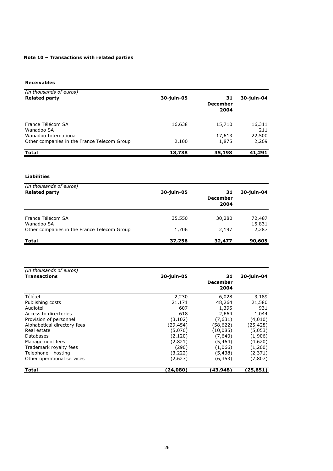# **Note 10 – Transactions with related parties**

**Receivables**

| (in thousands of euros)<br><b>Related party</b>                      | 30-juin-05 | 31<br><b>December</b><br>2004 | 30-juin-04      |
|----------------------------------------------------------------------|------------|-------------------------------|-----------------|
| France Télécom SA<br>Wanadoo SA                                      | 16,638     | 15,710                        | 16,311<br>211   |
| Wanadoo International<br>Other companies in the France Telecom Group | 2,100      | 17,613<br>1,875               | 22,500<br>2,269 |
| <b>Total</b>                                                         | 18,738     | 35,198                        | 41,291          |

# **Liabilities**

| (in thousands of euros)<br><b>Related party</b> | 30-juin-05 | 31<br><b>December</b><br>2004 | 30-juin-04       |
|-------------------------------------------------|------------|-------------------------------|------------------|
| France Télécom SA<br>Wanadoo SA                 | 35,550     | 30,280                        | 72,487<br>15,831 |
| Other companies in the France Telecom Group     | 1,706      | 2,197                         | 2,287            |
| <b>Total</b>                                    | 37,256     | 32,477                        | 90,605           |

| (in thousands of euros)     |            |                               |            |
|-----------------------------|------------|-------------------------------|------------|
| <b>Transactions</b>         | 30-juin-05 | 31<br><b>December</b><br>2004 | 30-juin-04 |
| Télétel                     | 2,230      | 6,028                         | 3,189      |
| Publishing costs            | 21,171     | 48,264                        | 21,580     |
| Audiotel                    | 607        | 1,395                         | 931        |
| Access to directories       | 618        | 2,664                         | 1,044      |
| Provision of personnel      | (3, 102)   | (7,631)                       | (4,010)    |
| Alphabetical directory fees | (29,454)   | (58,622)                      | (25,428)   |
| Real estate                 | (5,070)    | (10,085)                      | (5,053)    |
| Databases                   | (2, 120)   | (7,640)                       | (1,906)    |
| Management fees             | (2,821)    | (5,464)                       | (4,620)    |
| Trademark royalty fees      | (290)      | (1,066)                       | (1,200)    |
| Telephone - hosting         | (3,222)    | (5,438)                       | (2,371)    |
| Other operational services  | (2,627)    | (6, 353)                      | (7, 807)   |
| <b>Total</b>                | (24,080)   | (43,948)                      | (25,651)   |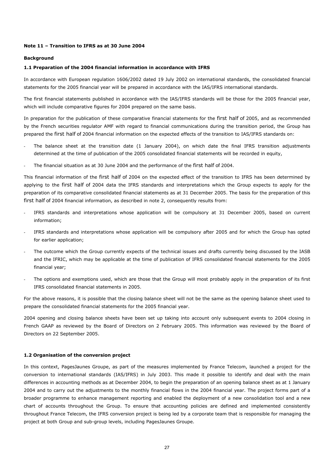## **Note 11 – Transition to IFRS as at 30 June 2004**

## **Background**

## **1.1 Preparation of the 2004 financial information in accordance with IFRS**

In accordance with European regulation 1606/2002 dated 19 July 2002 on international standards, the consolidated financial statements for the 2005 financial year will be prepared in accordance with the IAS/IFRS international standards.

The first financial statements published in accordance with the IAS/IFRS standards will be those for the 2005 financial year, which will include comparative figures for 2004 prepared on the same basis.

In preparation for the publication of these comparative financial statements for the first half of 2005, and as recommended by the French securities regulator AMF with regard to financial communications during the transition period, the Group has prepared the first half of 2004 financial information on the expected effects of the transition to IAS/IFRS standards on:

- The balance sheet at the transition date (1 January 2004), on which date the final IFRS transition adjustments determined at the time of publication of the 2005 consolidated financial statements will be recorded in equity,
- The financial situation as at 30 June 2004 and the performance of the first half of 2004.

This financial information of the first half of 2004 on the expected effect of the transition to IFRS has been determined by applying to the first half of 2004 data the IFRS standards and interpretations which the Group expects to apply for the preparation of its comparative consolidated financial statements as at 31 December 2005. The basis for the preparation of this first half of 2004 financial information, as described in note 2, consequently results from:

- IFRS standards and interpretations whose application will be compulsory at 31 December 2005, based on current information;
- IFRS standards and interpretations whose application will be compulsory after 2005 and for which the Group has opted for earlier application;
- The outcome which the Group currently expects of the technical issues and drafts currently being discussed by the IASB and the IFRIC, which may be applicable at the time of publication of IFRS consolidated financial statements for the 2005 financial year;
- The options and exemptions used, which are those that the Group will most probably apply in the preparation of its first IFRS consolidated financial statements in 2005.

For the above reasons, it is possible that the closing balance sheet will not be the same as the opening balance sheet used to prepare the consolidated financial statements for the 2005 financial year.

2004 opening and closing balance sheets have been set up taking into account only subsequent events to 2004 closing in French GAAP as reviewed by the Board of Directors on 2 February 2005. This information was reviewed by the Board of Directors on 22 September 2005.

## **1.2 Organisation of the conversion project**

In this context, PagesJaunes Groupe, as part of the measures implemented by France Telecom, launched a project for the conversion to international standards (IAS/IFRS) in July 2003. This made it possible to identify and deal with the main differences in accounting methods as at December 2004, to begin the preparation of an opening balance sheet as at 1 January 2004 and to carry out the adjustments to the monthly financial flows in the 2004 financial year. The project forms part of a broader programme to enhance management reporting and enabled the deployment of a new consolidation tool and a new chart of accounts throughout the Group. To ensure that accounting policies are defined and implemented consistently throughout France Telecom, the IFRS conversion project is being led by a corporate team that is responsible for managing the project at both Group and sub-group levels, including PagesJaunes Groupe.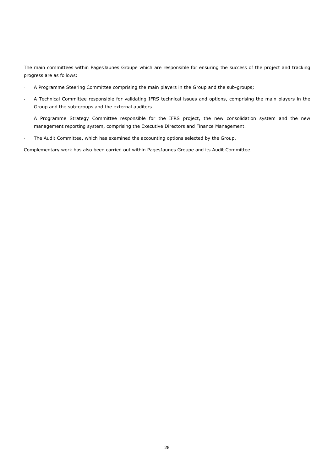The main committees within PagesJaunes Groupe which are responsible for ensuring the success of the project and tracking progress are as follows:

- A Programme Steering Committee comprising the main players in the Group and the sub-groups;
- A Technical Committee responsible for validating IFRS technical issues and options, comprising the main players in the Group and the sub-groups and the external auditors.
- A Programme Strategy Committee responsible for the IFRS project, the new consolidation system and the new management reporting system, comprising the Executive Directors and Finance Management.
- The Audit Committee, which has examined the accounting options selected by the Group.

Complementary work has also been carried out within PagesJaunes Groupe and its Audit Committee.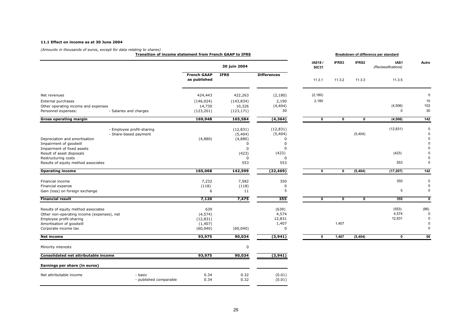#### **11.1 Effect on income as at 30 June 2004**

*(Amounts in thousands of euros, except for data relating to shares)* **Transition of income statement from French GAAP to IFRS**

**Breakdown of difference per standard**

|                                                                                                                                                                                  |                                                    |                                                       | 30 juin 2004                                                                        |                                                                                          | IAS18/<br><b>SIC31</b>  | IFRS3                   | IFRS2                   | IAS <sub>1</sub><br>(Reclassifications) | Autre                                                |
|----------------------------------------------------------------------------------------------------------------------------------------------------------------------------------|----------------------------------------------------|-------------------------------------------------------|-------------------------------------------------------------------------------------|------------------------------------------------------------------------------------------|-------------------------|-------------------------|-------------------------|-----------------------------------------|------------------------------------------------------|
|                                                                                                                                                                                  |                                                    | <b>French GAAP</b><br>as published                    | <b>IFRS</b>                                                                         | <b>Differences</b>                                                                       | 11.3.1                  | 11.3.2                  | 11.3.3                  | 11.3.5                                  |                                                      |
| Net revenues                                                                                                                                                                     |                                                    | 424,443                                               | 422,263                                                                             | (2,180)                                                                                  | (2, 180)                |                         |                         |                                         | $\Omega$                                             |
| External purchases<br>Other operating income and expenses<br>Personnel expenses:                                                                                                 | - Salaries and charges                             | (146, 024)<br>14,730<br>(123, 201)                    | (143, 834)<br>10,326<br>(123, 171)                                                  | 2,190<br>(4, 404)<br>30                                                                  | 2,180                   |                         |                         | (4, 506)<br>$\Omega$                    | 10<br>102<br>30                                      |
| <b>Gross operating margin</b>                                                                                                                                                    |                                                    | 169,948                                               | 165,584                                                                             | (4, 364)                                                                                 | 0                       | $\mathbf 0$             | $\mathbf 0$             | (4, 506)                                | 142                                                  |
| Depreciation and amortisation<br>Impairment of goodwill<br>Impairment of fixed assets<br>Result of asset disposals<br>Restructuring costs<br>Results of equity method associates | - Employee profit-sharing<br>- Share-based payment | (4,880)                                               | (12, 831)<br>(5,404)<br>(4,880)<br>$\Omega$<br>$\Omega$<br>(423)<br>$\Omega$<br>553 | (12, 831)<br>(5,404)<br><sup>0</sup><br>$\Omega$<br>$\Omega$<br>(423)<br>$\Omega$<br>553 |                         |                         | (5,404)                 | (12, 831)<br>(423)<br>553               | $\Omega$<br>$\Omega$                                 |
| <b>Operating income</b>                                                                                                                                                          |                                                    | 165,068                                               | 142,599                                                                             | (22, 469)                                                                                | 0                       | 0                       | (5, 404)                | (17, 207)                               | 142                                                  |
| Financial income<br>Financial expense<br>Gain (loss) on foreign exchange                                                                                                         |                                                    | 7,232<br>(118)<br>6                                   | 7,582<br>(118)<br>11                                                                | 350<br>0<br>5                                                                            |                         |                         |                         | 350<br>5                                | $\mathbf 0$<br>$\Omega$<br>$\Omega$                  |
| <b>Financial result</b>                                                                                                                                                          |                                                    | 7,120                                                 | 7,475                                                                               | 355                                                                                      | $\overline{\mathbf{0}}$ | $\overline{\mathbf{0}}$ | $\overline{\mathbf{0}}$ | 355                                     | $\mathbf{0}$                                         |
| Results of equity method associates<br>Other non-operating income (expenses), net<br>Employee profit-sharing<br>Amortisation of goodwill<br>Corporate income tax                 |                                                    | 639<br>(4, 574)<br>(12, 831)<br>(1, 407)<br>(60, 040) | (60, 040)                                                                           | (639)<br>4,574<br>12,831<br>1,407<br>0                                                   |                         | 1,407                   |                         | (553)<br>4,574<br>12,831                | (86)<br>$\Omega$<br>$\Omega$<br>$\Omega$<br>$\Omega$ |
| <b>Net income</b>                                                                                                                                                                |                                                    | 93,975                                                | 90,034                                                                              | (3, 941)                                                                                 | 0                       | 1,407                   | (5, 404)                | $\mathbf 0$                             | 56                                                   |
| Minority interests                                                                                                                                                               |                                                    |                                                       | $\mathbf 0$                                                                         |                                                                                          |                         |                         |                         |                                         |                                                      |
| Consolidated net attributable income                                                                                                                                             |                                                    | 93,975                                                | 90,034                                                                              | (3, 941)                                                                                 |                         |                         |                         |                                         |                                                      |
| Earnings per share (in euros)                                                                                                                                                    |                                                    |                                                       |                                                                                     |                                                                                          |                         |                         |                         |                                         |                                                      |
| Net attributable income                                                                                                                                                          | - basic<br>- published comparable                  | 0.34<br>0.34                                          | 0.32<br>0.32                                                                        | (0.01)<br>(0.01)                                                                         |                         |                         |                         |                                         |                                                      |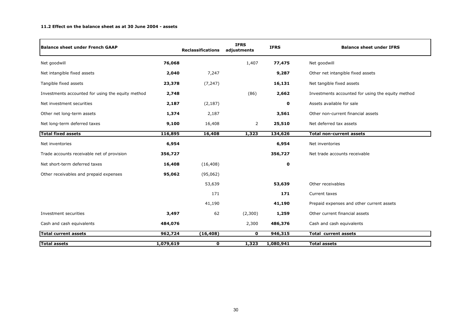#### **11.2 Effect on the balance sheet as at 30 June 2004 - assets**

| <b>Balance sheet under French GAAP</b>            |           | <b>Reclassifications</b> | <b>IFRS</b><br>adjustments | <b>IFRS</b> | <b>Balance sheet under IFRS</b>                   |
|---------------------------------------------------|-----------|--------------------------|----------------------------|-------------|---------------------------------------------------|
| Net goodwill                                      | 76,068    |                          | 1,407                      | 77,475      | Net goodwill                                      |
| Net intangible fixed assets                       | 2,040     | 7,247                    |                            | 9,287       | Other net intangible fixed assets                 |
| Tangible fixed assets                             | 23,378    | (7, 247)                 |                            | 16,131      | Net tangible fixed assets                         |
| Investments accounted for using the equity method | 2,748     |                          | (86)                       | 2,662       | Investments accounted for using the equity method |
| Net investment securities                         | 2,187     | (2, 187)                 |                            | 0           | Assets available for sale                         |
| Other net long-term assets                        | 1,374     | 2,187                    |                            | 3,561       | Other non-current financial assets                |
| Net long-term deferred taxes                      | 9,100     | 16,408                   | 2                          | 25,510      | Net deferred tax assets                           |
| Total fixed assets                                | 116,895   | 16,408                   | 1,323                      | 134,626     | <b>Total non-current assets</b>                   |
| Net inventories                                   | 6,954     |                          |                            | 6,954       | Net inventories                                   |
| Trade accounts receivable net of provision        | 356,727   |                          |                            | 356,727     | Net trade accounts receivable                     |
| Net short-term deferred taxes                     | 16,408    | (16, 408)                |                            | $\mathbf 0$ |                                                   |
| Other receivables and prepaid expenses            | 95,062    | (95,062)                 |                            |             |                                                   |
|                                                   |           | 53,639                   |                            | 53,639      | Other receivables                                 |
|                                                   |           | 171                      |                            | 171         | Current taxes                                     |
|                                                   |           | 41,190                   |                            | 41,190      | Prepaid expenses and other current assets         |
| Investment securities                             | 3,497     | 62                       | (2,300)                    | 1,259       | Other current financial assets                    |
| Cash and cash equivalents                         | 484,076   |                          | 2,300                      | 486,376     | Cash and cash equivalents                         |
| <b>Total current assets</b>                       | 962,724   | (16, 408)                | $\mathbf 0$                | 946,315     | <b>Total current assets</b>                       |
| <b>Total assets</b>                               | 1,079,619 | 0                        | 1,323                      | 1,080,941   | <b>Total assets</b>                               |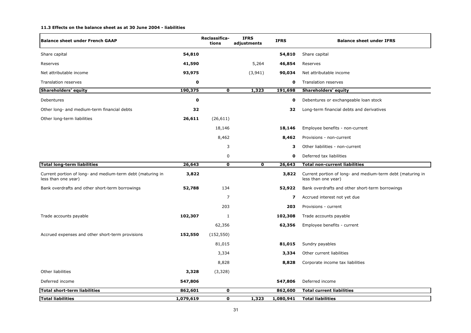#### **11.3 Effects on the balance sheet as at 30 June 2004 - liabilities**

| <b>Balance sheet under French GAAP</b>                                            |           | Reclassifica-<br>tions  | <b>IFRS</b><br>adjustments | <b>IFRS</b> | <b>Balance sheet under IFRS</b>                                                   |
|-----------------------------------------------------------------------------------|-----------|-------------------------|----------------------------|-------------|-----------------------------------------------------------------------------------|
| Share capital                                                                     | 54,810    |                         |                            | 54,810      | Share capital                                                                     |
| Reserves                                                                          | 41,590    |                         | 5,264                      | 46,854      | Reserves                                                                          |
| Net attributable income                                                           | 93,975    |                         | (3,941)                    | 90,034      | Net attributable income                                                           |
| Translation reserves                                                              | 0         |                         |                            | 0           | Translation reserves                                                              |
| <b>Shareholders' equity</b>                                                       | 190,375   | 0                       | 1,323                      | 191,698     | <b>Shareholders' equity</b>                                                       |
| Debentures                                                                        | 0         |                         |                            | 0           | Debentures or exchangeable loan stock                                             |
| Other long- and medium-term financial debts                                       | 32        |                         |                            | 32          | Long-term financial debts and derivatives                                         |
| Other long-term liabilities                                                       | 26,611    | (26, 611)               |                            |             |                                                                                   |
|                                                                                   |           | 18,146                  |                            | 18,146      | Employee benefits - non-current                                                   |
|                                                                                   |           | 8,462                   |                            | 8,462       | Provisions - non-current                                                          |
|                                                                                   |           | 3                       |                            | 3           | Other liabilities - non-current                                                   |
|                                                                                   |           | 0                       |                            | 0           | Deferred tax liabilities                                                          |
| <b>Total long-term liabilities</b>                                                | 26,643    | $\mathbf 0$             | $\mathbf 0$                | 26,643      | <b>Total non-current liabilities</b>                                              |
| Current portion of long- and medium-term debt (maturing in<br>less than one year) | 3,822     |                         |                            | 3,822       | Current portion of long- and medium-term debt (maturing in<br>less than one year) |
| Bank overdrafts and other short-term borrowings                                   | 52,788    | 134                     |                            | 52,922      | Bank overdrafts and other short-term borrowings                                   |
|                                                                                   |           | $\overline{7}$          |                            | 7           | Accrued interest not yet due                                                      |
|                                                                                   |           | 203                     |                            | 203         | Provisions - current                                                              |
| Trade accounts payable                                                            | 102,307   | 1                       |                            | 102,308     | Trade accounts payable                                                            |
|                                                                                   |           | 62,356                  |                            | 62,356      | Employee benefits - current                                                       |
| Accrued expenses and other short-term provisions                                  | 152,550   | (152, 550)              |                            |             |                                                                                   |
|                                                                                   |           | 81,015                  |                            | 81,015      | Sundry payables                                                                   |
|                                                                                   |           | 3,334                   |                            | 3,334       | Other current liabilities                                                         |
|                                                                                   |           | 8,828                   |                            | 8,828       | Corporate income tax liabilities                                                  |
| Other liabilities                                                                 | 3,328     | (3,328)                 |                            |             |                                                                                   |
| Deferred income                                                                   | 547,806   |                         |                            | 547,806     | Deferred income                                                                   |
| <b>Total short-term liabilities</b>                                               | 862,601   | $\overline{\mathbf{0}}$ |                            | 862,600     | Total current liabilities                                                         |
| <b>Total liabilities</b>                                                          | 1,079,619 | $\mathbf 0$             | 1,323                      | 1,080,941   | <b>Total liabilities</b>                                                          |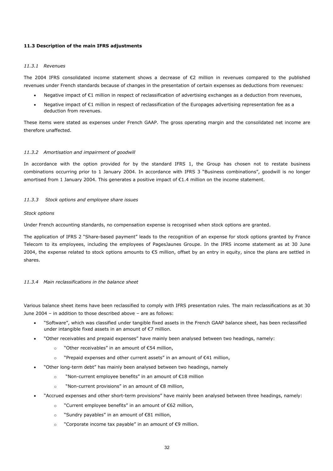## **11.3 Description of the main IFRS adjustments**

## *11.3.1 Revenues*

The 2004 IFRS consolidated income statement shows a decrease of €2 million in revenues compared to the published revenues under French standards because of changes in the presentation of certain expenses as deductions from revenues:

- Negative impact of €1 million in respect of reclassification of advertising exchanges as a deduction from revenues,
- Negative impact of €1 million in respect of reclassification of the Europages advertising representation fee as a deduction from revenues.

These items were stated as expenses under French GAAP. The gross operating margin and the consolidated net income are therefore unaffected.

## *11.3.2 Amortisation and impairment of goodwill*

In accordance with the option provided for by the standard IFRS 1, the Group has chosen not to restate business combinations occurring prior to 1 January 2004. In accordance with IFRS 3 "Business combinations", goodwill is no longer amortised from 1 January 2004. This generates a positive impact of €1.4 million on the income statement.

## *11.3.3 Stock options and employee share issues*

## *Stock options*

Under French accounting standards, no compensation expense is recognised when stock options are granted.

The application of IFRS 2 "Share-based payment" leads to the recognition of an expense for stock options granted by France Telecom to its employees, including the employees of PagesJaunes Groupe. In the IFRS income statement as at 30 June 2004, the expense related to stock options amounts to  $\epsilon$ 5 million, offset by an entry in equity, since the plans are settled in shares.

## *11.3.4 Main reclassifications in the balance sheet*

Various balance sheet items have been reclassified to comply with IFRS presentation rules. The main reclassifications as at 30 June 2004 – in addition to those described above – are as follows:

- "Software", which was classified under tangible fixed assets in the French GAAP balance sheet, has been reclassified under intangible fixed assets in an amount of €7 million.
- "Other receivables and prepaid expenses" have mainly been analysed between two headings, namely:
	- o "Other receivables" in an amount of €54 million,
	- o "Prepaid expenses and other current assets" in an amount of €41 million,
- "Other long-term debt" has mainly been analysed between two headings, namely
	- o "Non-current employee benefits" in an amount of €18 million
	- o "Non-current provisions" in an amount of €8 million,
- "Accrued expenses and other short-term provisions" have mainly been analysed between three headings, namely:
	- o "Current employee benefits" in an amount of €62 million,
	- o "Sundry payables" in an amount of €81 million,
	- o "Corporate income tax payable" in an amount of €9 million.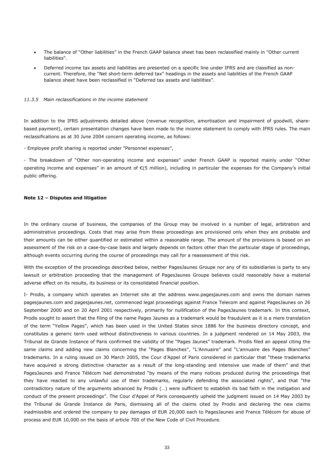- The balance of "Other liabilities" in the French GAAP balance sheet has been reclassified mainly in "Other current liabilities".
- Deferred income tax assets and liabilities are presented on a specific line under IFRS and are classified as noncurrent. Therefore, the "Net short-term deferred tax" headings in the assets and liabilities of the French GAAP balance sheet have been reclassified in "Deferred tax assets and liabilities".

## *11.3.5 Main reclassifications in the income statement*

In addition to the IFRS adjustments detailed above (revenue recognition, amortisation and impairment of goodwill, sharebased payment), certain presentation changes have been made to the income statement to comply with IFRS rules. The main reclassifications as at 30 June 2004 concern operating income, as follows:

- Employee profit sharing is reported under "Personnel expenses",

- The breakdown of "Other non-operating income and expenses" under French GAAP is reported mainly under "Other operating income and expenses" in an amount of  $\epsilon$ (5 million), including in particular the expenses for the Company's initial public offering.

## **Note 12 – Disputes and litigation**

In the ordinary course of business, the companies of the Group may be involved in a number of legal, arbitration and administrative proceedings. Costs that may arise from these proceedings are provisioned only when they are probable and their amounts can be either quantified or estimated within a reasonable range. The amount of the provisions is based on an assessment of the risk on a case-by-case basis and largely depends on factors other than the particular stage of proceedings, although events occurring during the course of proceedings may call for a reassessment of this risk.

With the exception of the proceedings described below, neither PagesJaunes Groupe nor any of its subsidiaries is party to any lawsuit or arbitration proceeding that the management of PagesJaunes Groupe believes could reasonably have a material adverse effect on its results, its business or its consolidated financial position.

I- Prodis, a company which operates an Internet site at the address www.pagesjaunes.com and owns the domain names pagesjaunes.com and pagesjaunes.net, commenced legal proceedings against France Telecom and against PagesJaunes on 26 September 2000 and on 20 April 2001 respectively, primarily for nullification of the PagesJaunes trademark. In this context, Prodis sought to assert that the filing of the name Pages Jaunes as a trademark would be fraudulent as it is a mere translation of the term "Yellow Pages", which has been used in the United States since 1886 for the business directory concept, and constitutes a generic term used without distinctiveness in various countries. In a judgment rendered on 14 May 2003, the Tribunal de Grande Instance of Paris confirmed the validity of the "Pages Jaunes" trademark. Prodis filed an appeal citing the same claims and adding new claims concerning the "Pages Blanches", "L'Annuaire" and "L'annuaire des Pages Blanches" trademarks. In a ruling issued on 30 March 2005, the Cour d'Appel of Paris considered in particular that "these trademarks have acquired a strong distinctive character as a result of the long-standing and intensive use made of them" and that PagesJaunes and France Télécom had demonstrated "by means of the many notices produced during the proceedings that they have reacted to any unlawful use of their trademarks, regularly defending the associated rights", and that "the contradictory nature of the arguments advanced by Prodis (…) were sufficient to establish its bad faith in the instigation and conduct of the present proceedings". The Cour d'Appel of Paris consequently upheld the judgment issued on 14 May 2003 by the Tribunal de Grande Instance de Paris, dismissing all of the claims cited by Prodis and declaring the new claims inadmissible and ordered the company to pay damages of EUR 20,000 each to PagesJaunes and France Télécom for abuse of process and EUR 10,000 on the basis of article 700 of the New Code of Civil Procedure.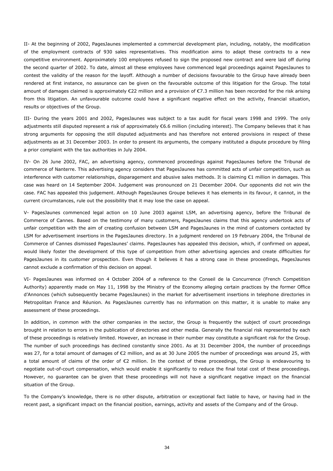II- At the beginning of 2002, PagesJaunes implemented a commercial development plan, including, notably, the modification of the employment contracts of 930 sales representatives. This modification aims to adapt these contracts to a new competitive environment. Approximately 100 employees refused to sign the proposed new contract and were laid off during the second quarter of 2002. To date, almost all these employees have commenced legal proceedings against PagesJaunes to contest the validity of the reason for the layoff. Although a number of decisions favourable to the Group have already been rendered at first instance, no assurance can be given on the favourable outcome of this litigation for the Group. The total amount of damages claimed is approximately €22 million and a provision of €7.3 million has been recorded for the risk arising from this litigation. An unfavourable outcome could have a significant negative effect on the activity, financial situation, results or objectives of the Group.

III- During the years 2001 and 2002, PagesJaunes was subject to a tax audit for fiscal years 1998 and 1999. The only adjustments still disputed represent a risk of approximately €6.6 million (including interest). The Company believes that it has strong arguments for opposing the still disputed adjustments and has therefore not entered provisions in respect of these adjustments as at 31 December 2003. In order to present its arguments, the company instituted a dispute procedure by filing a prior complaint with the tax authorities in July 2004.

IV- On 26 June 2002, FAC, an advertising agency, commenced proceedings against PagesJaunes before the Tribunal de commerce of Nanterre. This advertising agency considers that PagesJaunes has committed acts of unfair competition, such as interference with customer relationships, disparagement and abusive sales methods. It is claiming €1 million in damages. This case was heard on 14 September 2004. Judgement was pronounced on 21 December 2004. Our opponents did not win the case. FAC has appealed this judgement. Although PagesJaunes Groupe believes it has elements in its favour, it cannot, in the current circumstances, rule out the possibility that it may lose the case on appeal.

V- PagesJaunes commenced legal action on 10 June 2003 against LSM, an advertising agency, before the Tribunal de Commerce of Cannes. Based on the testimony of many customers, PagesJaunes claims that this agency undertook acts of unfair competition with the aim of creating confusion between LSM and PagesJaunes in the mind of customers contacted by LSM for advertisement insertions in the PagesJaunes directory. In a judgment rendered on 19 February 2004, the Tribunal de Commerce of Cannes dismissed PagesJaunes' claims. PagesJaunes has appealed this decision, which, if confirmed on appeal, would likely foster the development of this type of competition from other advertising agencies and create difficulties for PagesJaunes in its customer prospection. Even though it believes it has a strong case in these proceedings, PagesJaunes cannot exclude a confirmation of this decision on appeal.

VI- PagesJaunes was informed on 4 October 2004 of a reference to the Conseil de la Concurrence (French Competition Authority) apparently made on May 11, 1998 by the Ministry of the Economy alleging certain practices by the former Office d'Annonces (which subsequently became PagesJaunes) in the market for advertisement insertions in telephone directories in Metropolitan France and Réunion. As PagesJaunes currently has no information on this matter, it is unable to make any assessment of these proceedings.

In addition, in common with the other companies in the sector, the Group is frequently the subject of court proceedings brought in relation to errors in the publication of directories and other media. Generally the financial risk represented by each of these proceedings is relatively limited. However, an increase in their number may constitute a significant risk for the Group. The number of such proceedings has declined constantly since 2001. As at 31 December 2004, the number of proceedings was 27, for a total amount of damages of €2 million, and as at 30 June 2005 the number of proceedings was around 25, with a total amount of claims of the order of €2 million. In the context of these proceedings, the Group is endeavouring to negotiate out-of-court compensation, which would enable it significantly to reduce the final total cost of these proceedings. However, no guarantee can be given that these proceedings will not have a significant negative impact on the financial situation of the Group.

To the Company's knowledge, there is no other dispute, arbitration or exceptional fact liable to have, or having had in the recent past, a significant impact on the financial position, earnings, activity and assets of the Company and of the Group.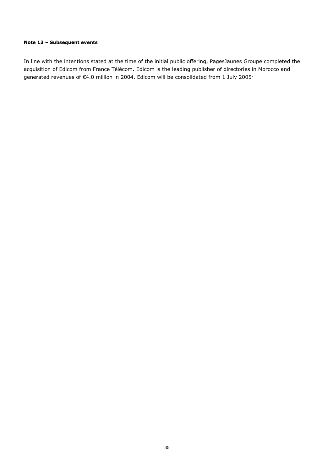# **Note 13 – Subsequent events**

In line with the intentions stated at the time of the initial public offering, PagesJaunes Groupe completed the acquisition of Edicom from France Télécom. Edicom is the leading publisher of directories in Morocco and generated revenues of €4.0 million in 2004. Edicom will be consolidated from 1 July 2005·